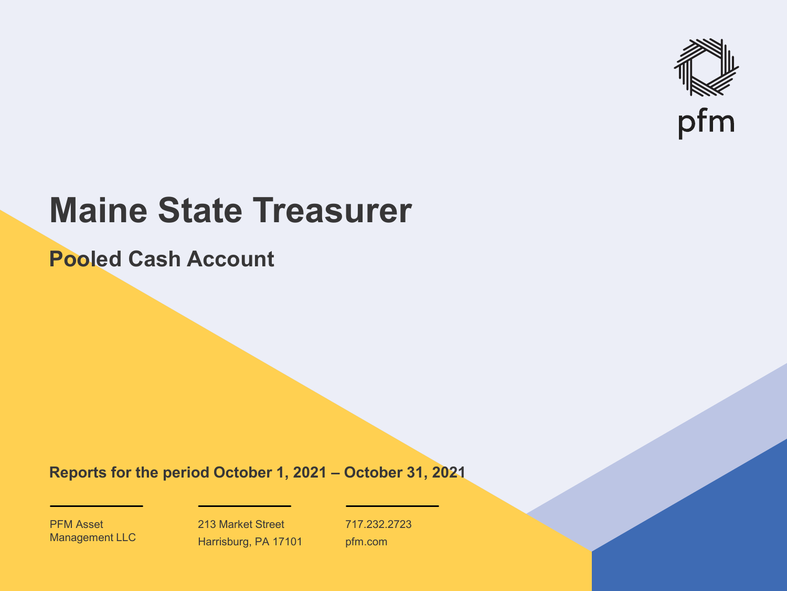

# **Maine State Treasurer**

**Pooled Cash Account**

**Reports for the period October 1, 2021 – October 31, 2021**

PFM Asset Management LLC

213 Market Street Harrisburg, PA 17101 717.232.2723 pfm.com

 $\mathcal{P}_\text{max}$  and  $\mathcal{P}_\text{max}$  is the probability of  $\mathcal{P}_\text{max}$  and  $\mathcal{P}_\text{max}$  and  $\mathcal{P}_\text{max}$  and  $\mathcal{P}_\text{max}$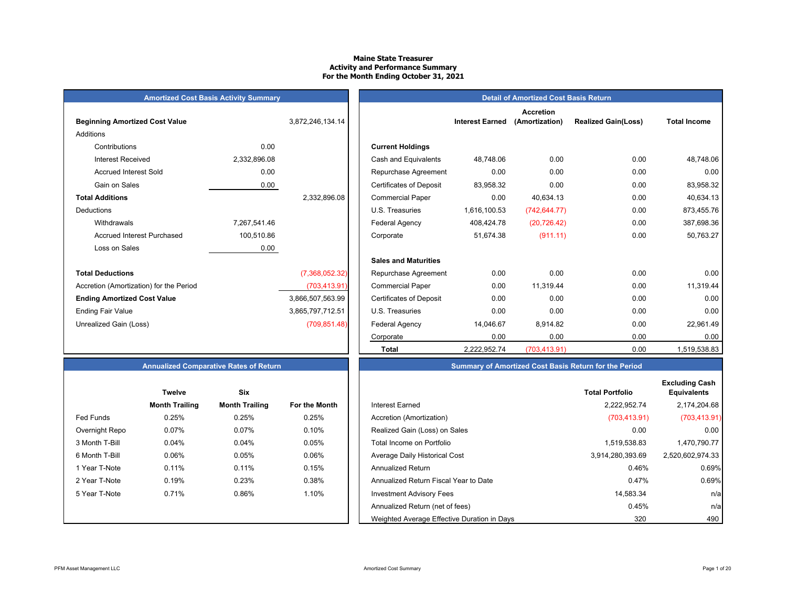#### **Maine State TreasurerActivity and Performance Summary For the Month Ending October 31, 2021**

| <b>Amortized Cost Basis Activity Summary</b> |  |
|----------------------------------------------|--|
|----------------------------------------------|--|

| <b>Beginning Amortized Cost Value</b>   |              | 3,872,246,134.14 | <b>Interest Earned</b>                      |
|-----------------------------------------|--------------|------------------|---------------------------------------------|
| Additions                               |              |                  |                                             |
| Contributions                           | 0.00         |                  | <b>Current Holdings</b>                     |
| Interest Received                       | 2,332,896.08 |                  | Cash and Equivalents<br>48,748.06           |
| <b>Accrued Interest Sold</b>            | 0.00         |                  | 0.00<br>Repurchase Agreement                |
| Gain on Sales                           | 0.00         |                  | <b>Certificates of Deposit</b><br>83,958.32 |
| <b>Total Additions</b>                  |              | 2,332,896.08     | 0.00<br><b>Commercial Paper</b>             |
| Deductions                              |              |                  | 1,616,100.53<br>U.S. Treasuries             |
| Withdrawals                             | 7,267,541.46 |                  | <b>Federal Agency</b><br>408,424.78         |
| <b>Accrued Interest Purchased</b>       | 100,510.86   |                  | 51,674.38<br>Corporate                      |
| Loss on Sales                           | 0.00         |                  |                                             |
|                                         |              |                  | <b>Sales and Maturities</b>                 |
| <b>Total Deductions</b>                 |              | (7,368,052.32)   | 0.00<br>Repurchase Agreement                |
| Accretion (Amortization) for the Period |              | (703, 413.91)    | 0.00<br><b>Commercial Paper</b>             |
| <b>Ending Amortized Cost Value</b>      |              | 3,866,507,563.99 | 0.00<br><b>Certificates of Deposit</b>      |
| <b>Ending Fair Value</b>                |              | 3,865,797,712.51 | 0.00<br>U.S. Treasuries                     |
| Unrealized Gain (Loss)                  |              | (709, 851.48)    | Federal Agency<br>14,046.67                 |
|                                         |              |                  | $\sim$ $\sim$ $\sim$                        |

|                                         | <b>Amortized Cost Basis Activity Summary</b> |                  | <b>Detail of Amortized Cost Basis Return</b> |                        |                                    |                            |                     |  |  |
|-----------------------------------------|----------------------------------------------|------------------|----------------------------------------------|------------------------|------------------------------------|----------------------------|---------------------|--|--|
| <b>Beginning Amortized Cost Value</b>   |                                              | 3,872,246,134.14 |                                              | <b>Interest Earned</b> | <b>Accretion</b><br>(Amortization) | <b>Realized Gain(Loss)</b> | <b>Total Income</b> |  |  |
| Additions                               |                                              |                  |                                              |                        |                                    |                            |                     |  |  |
| Contributions                           | 0.00                                         |                  | <b>Current Holdings</b>                      |                        |                                    |                            |                     |  |  |
| <b>Interest Received</b>                | 2,332,896.08                                 |                  | Cash and Equivalents                         | 48.748.06              | 0.00                               | 0.00                       | 48,748.06           |  |  |
| <b>Accrued Interest Sold</b>            | 0.00                                         |                  | Repurchase Agreement                         | 0.00                   | 0.00                               | 0.00                       | 0.00                |  |  |
| Gain on Sales                           | 0.00                                         |                  | <b>Certificates of Deposit</b>               | 83,958.32              | 0.00                               | 0.00                       | 83,958.32           |  |  |
| <b>Total Additions</b>                  |                                              | 2,332,896.08     | <b>Commercial Paper</b>                      | 0.00                   | 40,634.13                          | 0.00                       | 40,634.13           |  |  |
| Deductions                              |                                              |                  | U.S. Treasuries                              | 1,616,100.53           | (742, 644.77)                      | 0.00                       | 873,455.76          |  |  |
| Withdrawals                             | 7,267,541.46                                 |                  | <b>Federal Agency</b>                        | 408,424.78             | (20, 726.42)                       | 0.00                       | 387,698.36          |  |  |
| <b>Accrued Interest Purchased</b>       | 100,510.86                                   |                  | Corporate                                    | 51,674.38              | (911.11)                           | 0.00                       | 50,763.27           |  |  |
| Loss on Sales                           | 0.00                                         |                  |                                              |                        |                                    |                            |                     |  |  |
|                                         |                                              |                  | <b>Sales and Maturities</b>                  |                        |                                    |                            |                     |  |  |
| <b>Total Deductions</b>                 |                                              | (7,368,052.32)   | Repurchase Agreement                         | 0.00                   | 0.00                               | 0.00                       | 0.00                |  |  |
| Accretion (Amortization) for the Period |                                              | (703, 413.91)    | <b>Commercial Paper</b>                      | 0.00                   | 11,319.44                          | 0.00                       | 11,319.44           |  |  |
| <b>Ending Amortized Cost Value</b>      |                                              | 3,866,507,563.99 | <b>Certificates of Deposit</b>               | 0.00                   | 0.00                               | 0.00                       | 0.00                |  |  |
| Ending Fair Value                       |                                              | 3,865,797,712.51 | U.S. Treasuries                              | 0.00                   | 0.00                               | 0.00                       | 0.00                |  |  |
| Unrealized Gain (Loss)                  |                                              | (709, 851.48)    | Federal Agency                               | 14,046.67              | 8,914.82                           | 0.00                       | 22,961.49           |  |  |
|                                         |                                              |                  | Corporate                                    | 0.00                   | 0.00                               | 0.00                       | 0.00                |  |  |
|                                         |                                              |                  | <b>Total</b>                                 | 2,222,952.74           | (703, 413.91)                      | 0.00                       | 1,519,538.83        |  |  |

## **Annualized Comparative Rates of Return Summary of Amortized Cost Basis Return for the Period**

|                | <b>Twelve</b>         | Six                   |                      |
|----------------|-----------------------|-----------------------|----------------------|
|                | <b>Month Trailing</b> | <b>Month Trailing</b> | <b>For the Month</b> |
| Fed Funds      | 0.25%                 | 0.25%                 | 0.25%                |
| Overnight Repo | 0.07%                 | 0.07%                 | 0.10%                |
| 3 Month T-Bill | 0.04%                 | 0.04%                 | 0.05%                |
| 6 Month T-Bill | 0.06%                 | 0.05%                 | 0.06%                |
| 1 Year T-Note  | 0.11%                 | 0.11%                 | 0.15%                |
| 2 Year T-Note  | 0.19%                 | 0.23%                 | 0.38%                |
| 5 Year T-Note  | 0.71%                 | 0.86%                 | 1.10%                |
|                |                       |                       |                      |
|                |                       |                       |                      |

|                             | Six<br><b>Twelve</b>  |                       |               |                               | <b>Total Portfolio</b> | <b>Excluding Cash</b><br><b>Equivalents</b> |
|-----------------------------|-----------------------|-----------------------|---------------|-------------------------------|------------------------|---------------------------------------------|
|                             | <b>Month Trailing</b> | <b>Month Trailing</b> | For the Month | Interest Earned               | 2.222.952.74           | 2,174,204.68                                |
| Fed Funds                   | 0.25%                 | 0.25%                 | 0.25%         | Accretion (Amortization)      | (703, 413.91)          | (703, 413.91)                               |
| Overnight Repo              | 0.07%                 | 0.07%                 | 0.10%         | Realized Gain (Loss) on Sales | 0.00                   | 0.00                                        |
| . . <i>.</i> . <del>.</del> | 0.0101                | 0.0101                | 0.0001        |                               | $1 - 10 - 0000$        | 1707077                                     |

| 3 Month T-Bill | 0.04% | 0.04% | 0.05%    | Total Income on Portfolio                   | 1.519.538.83     | 1.470.790.77     |
|----------------|-------|-------|----------|---------------------------------------------|------------------|------------------|
| 6 Month T-Bill | 0.06% | 0.05% | $0.06\%$ | Average Daily Historical Cost               | 3.914.280.393.69 | 2.520.602.974.33 |
| 1 Year T-Note  | 0.11% | 0.11% | 0.15%    | Annualized Return                           | 0.46%            | 0.69%            |
| 2 Year T-Note  | 0.19% | 0.23% | 0.38%    | Annualized Return Fiscal Year to Date       | 0.47%            | 0.69%            |
| 5 Year T-Note  | 0.71% | 0.86% | 1.10%    | <b>Investment Advisory Fees</b>             | 14.583.34        | n/a              |
|                |       |       |          | Annualized Return (net of fees)             | 0.45%            | n/a              |
|                |       |       |          | Weighted Average Effective Duration in Days | 320              | 490              |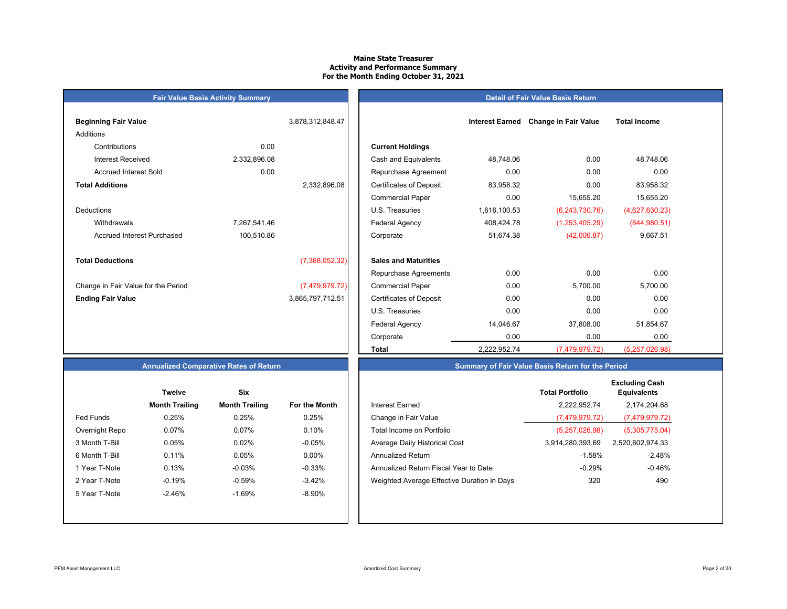#### **Maine State Treasurer Activity and Performance Summary For the Month Ending October 31, 2021**

## **Fair Value Basis Activity Summary Beginning Fair Value 1.2.3.12 and 2.6.47 Interest Earned Change in Fair Value 1.5.48.47** Additions Contributions 0.00 **Current Holdings** Accrued Interest Sold 0.00 **Total Additions**DeductionsAccrued Interest Purchased 100,510.86 **Total Deductions** (7,368,052.32) **Sales and Maturities** Change in Fair Value for the Period (7,479,979.72) **Ending Fair Value** 3,865,797,712.51

| ning Fair Value                 |              | 3,878,312,848.47 |                                | <b>Interest Earned</b> | <b>Change in Fair Value</b> | <b>Total Income</b> |
|---------------------------------|--------------|------------------|--------------------------------|------------------------|-----------------------------|---------------------|
| ons                             |              |                  |                                |                        |                             |                     |
| Contributions                   | 0.00         |                  | <b>Current Holdings</b>        |                        |                             |                     |
| <b>Interest Received</b>        | 2,332,896.08 |                  | Cash and Equivalents           | 48,748.06              | 0.00                        | 48,748.06           |
| <b>Accrued Interest Sold</b>    | 0.00         |                  | Repurchase Agreement           | 0.00                   | 0.00                        | 0.00                |
| <b>Additions</b>                |              | 2,332,896.08     | <b>Certificates of Deposit</b> | 83,958.32              | 0.00                        | 83,958.32           |
|                                 |              |                  | <b>Commercial Paper</b>        | 0.00                   | 15,655.20                   | 15,655.20           |
| ctions                          |              |                  | U.S. Treasuries                | 1,616,100.53           | (6,243,730.76)              | (4,627,630.23)      |
| Withdrawals                     | 7,267,541.46 |                  | Federal Agency                 | 408,424.78             | (1,253,405.29)              | (844,980.51)        |
| Accrued Interest Purchased      | 100,510.86   |                  | Corporate                      | 51,674.38              | (42,006.87)                 | 9,667.51            |
| <b>Deductions</b>               |              | (7,368,052.32)   | <b>Sales and Maturities</b>    |                        |                             |                     |
|                                 |              |                  | Repurchase Agreements          | 0.00                   | 0.00                        | 0.00                |
| ge in Fair Value for the Period |              | (7,479,979.72)   | <b>Commercial Paper</b>        | 0.00                   | 5,700.00                    | 5,700.00            |
| ıg Fair Value                   |              | 3,865,797,712.51 | <b>Certificates of Deposit</b> | 0.00                   | 0.00                        | 0.00                |
|                                 |              |                  | U.S. Treasuries                | 0.00                   | 0.00                        | 0.00                |
|                                 |              |                  | <b>Federal Agency</b>          | 14,046.67              | 37,808.00                   | 51,854.67           |
|                                 |              |                  | Corporate                      | 0.00                   | 0.00                        | 0.00                |
|                                 |              |                  | Total                          | 2,222,952.74           | (7,479,979.72)              | (5,257,026.98)      |

**Detail of Fair Value Basis Return**

## **Annualized Comparative Rates of Return**

|                | Twelve                | Six                   |                      |
|----------------|-----------------------|-----------------------|----------------------|
|                | <b>Month Trailing</b> | <b>Month Trailing</b> | <b>For the Month</b> |
| Fed Funds      | 0.25%                 | 0.25%                 | 0.25%                |
| Overnight Repo | 0.07%                 | 0.07%                 | 0.10%                |
| 3 Month T-Bill | 0.05%                 | 0.02%                 | $-0.05%$             |
| 6 Month T-Bill | 0.11%                 | 0.05%                 | $0.00\%$             |
| 1 Year T-Note  | 0.13%                 | $-0.03%$              | $-0.33%$             |
| 2 Year T-Note  | $-0.19%$              | $-0.59%$              | $-3.42%$             |
| 5 Year T-Note  | $-2.46%$              | $-1.69%$              | $-8.90\%$            |
|                |                       |                       |                      |
|                |                       |                       |                      |

| <b>Six</b><br><b>Twelve</b> |                       |               |                                             |                  |                        |
|-----------------------------|-----------------------|---------------|---------------------------------------------|------------------|------------------------|
| <b>Month Trailing</b>       | <b>Month Trailing</b> | For the Month | <b>Interest Earned</b>                      | 2.222.952.74     | 2.174.204.68           |
| 0.25%                       | 0.25%                 | 0.25%         | Change in Fair Value                        | (7,479,979.72)   | (7,479,979.72)         |
| 0.07%                       | 0.07%                 | 0.10%         | Total Income on Portfolio                   | (5,257,026.98)   | (5,305,775.04)         |
| 0.05%                       | 0.02%                 | $-0.05%$      | Average Daily Historical Cost               | 3,914,280,393.69 | 2,520,602,974.33       |
| 0.11%                       | 0.05%                 | $0.00\%$      | <b>Annualized Return</b>                    | $-1.58%$         | $-2.48%$               |
| 0.13%                       | $-0.03%$              | $-0.33%$      | Annualized Return Fiscal Year to Date       | $-0.29%$         | $-0.46%$               |
| $-0.19%$                    | $-0.59%$              | $-3.42%$      | Weighted Average Effective Duration in Days | 320              | 490                    |
| $-2.46%$                    | $-1.69%$              | $-8.90%$      |                                             |                  |                        |
|                             |                       |               |                                             |                  | <b>Total Portfolio</b> |

**Summary of Fair Value Basis Return for the Period**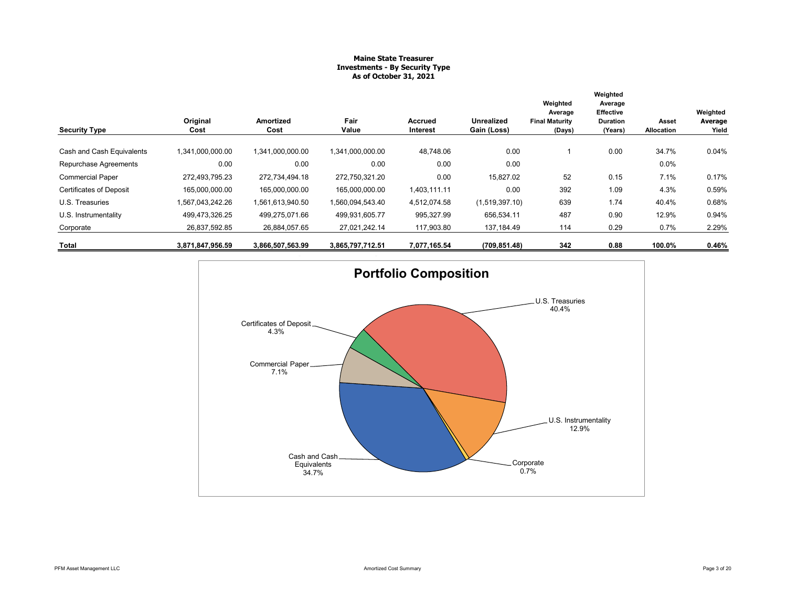### **Maine State Treasurer Investments - By Security Type As of October 31, 2021**

| <b>Security Type</b>           | Original<br>Cost | Amortized<br>Cost | Fair<br>Value    | Accrued<br>Interest | Unrealized<br>Gain (Loss) | Weighted<br>Average<br><b>Final Maturity</b><br>(Days) | Weighted<br>Average<br><b>Effective</b><br><b>Duration</b><br>(Years) | Asset<br>Allocation | Weighted<br>Average<br>Yield |
|--------------------------------|------------------|-------------------|------------------|---------------------|---------------------------|--------------------------------------------------------|-----------------------------------------------------------------------|---------------------|------------------------------|
| Cash and Cash Equivalents      | 1,341,000,000.00 | 1,341,000,000.00  | 1,341,000,000.00 | 48,748.06           | 0.00                      |                                                        | 0.00                                                                  | 34.7%               | 0.04%                        |
| Repurchase Agreements          | 0.00             | 0.00              | 0.00             | 0.00                | 0.00                      |                                                        |                                                                       | 0.0%                |                              |
| <b>Commercial Paper</b>        | 272.493.795.23   | 272.734.494.18    | 272.750.321.20   | 0.00                | 15,827.02                 | 52                                                     | 0.15                                                                  | 7.1%                | 0.17%                        |
| <b>Certificates of Deposit</b> | 165.000.000.00   | 165.000.000.00    | 165,000,000.00   | 1.403.111.11        | 0.00                      | 392                                                    | 1.09                                                                  | 4.3%                | 0.59%                        |
| U.S. Treasuries                | 1,567,043,242.26 | 1,561,613,940.50  | 1,560,094,543.40 | 4,512,074.58        | (1,519,397.10)            | 639                                                    | 1.74                                                                  | 40.4%               | 0.68%                        |
| U.S. Instrumentality           | 499,473,326.25   | 499,275,071.66    | 499,931,605.77   | 995,327.99          | 656,534.11                | 487                                                    | 0.90                                                                  | 12.9%               | 0.94%                        |
| Corporate                      | 26,837,592.85    | 26,884,057.65     | 27,021,242.14    | 117,903.80          | 137,184.49                | 114                                                    | 0.29                                                                  | 0.7%                | 2.29%                        |
| Total                          | 3,871,847,956.59 | 3,866,507,563.99  | 3,865,797,712.51 | 7,077,165.54        | (709, 851.48)             | 342                                                    | 0.88                                                                  | 100.0%              | 0.46%                        |

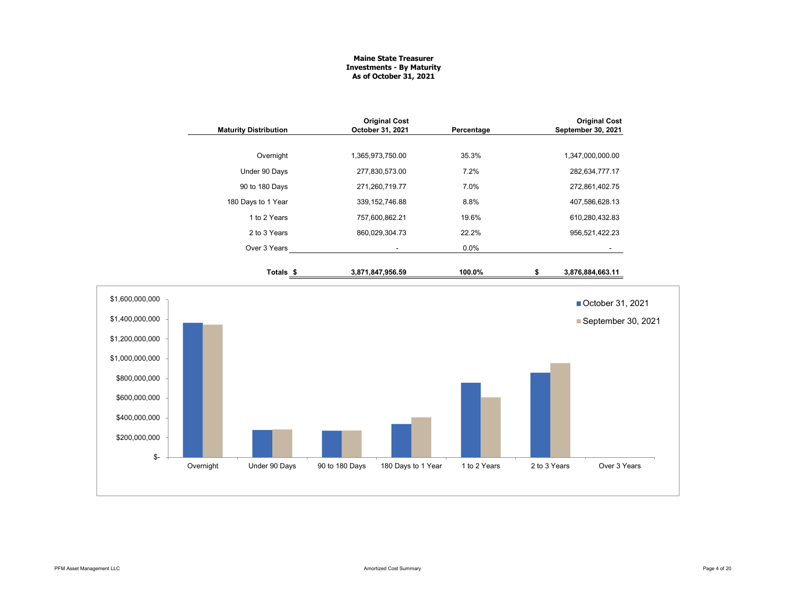#### **Maine State Treasurer Investments - By Maturity As of October 31, 2021**

|                                                                        | <b>Maturity Distribution</b> | <b>Original Cost</b><br>October 31, 2021 | Percentage                         |              | <b>Original Cost</b><br>September 30, 2021 |
|------------------------------------------------------------------------|------------------------------|------------------------------------------|------------------------------------|--------------|--------------------------------------------|
|                                                                        | Overnight                    | 1,365,973,750.00                         | 35.3%                              |              | 1,347,000,000.00                           |
|                                                                        | Under 90 Days                | 277,830,573.00                           | 7.2%                               |              | 282,634,777.17                             |
|                                                                        | 90 to 180 Days               | 271,260,719.77                           | 7.0%                               |              | 272,861,402.75                             |
|                                                                        | 180 Days to 1 Year           | 339, 152, 746.88                         | 8.8%                               |              | 407,586,628.13                             |
|                                                                        | 1 to 2 Years                 | 757,600,862.21                           | 19.6%                              |              | 610,280,432.83                             |
|                                                                        | 2 to 3 Years                 | 860,029,304.73                           | 22.2%                              |              | 956,521,422.23                             |
|                                                                        | Over 3 Years                 | $\blacksquare$                           | 0.0%                               |              |                                            |
|                                                                        | Totals <sub>\$</sub>         | 3,871,847,956.59                         | 100.0%                             | \$           | 3,876,884,663.11                           |
| \$1,600,000,000                                                        |                              |                                          |                                    |              | ■ October 31, 2021                         |
| \$1,400,000,000<br>\$1,200,000,000<br>\$1,000,000,000<br>\$800,000,000 |                              |                                          |                                    |              | September 30, 2021                         |
| \$600,000,000<br>\$400,000,000<br>\$200,000,000<br>\$-                 |                              |                                          |                                    |              |                                            |
|                                                                        | Overnight<br>Under 90 Days   | 90 to 180 Days                           | 180 Days to 1 Year<br>1 to 2 Years | 2 to 3 Years | Over 3 Years                               |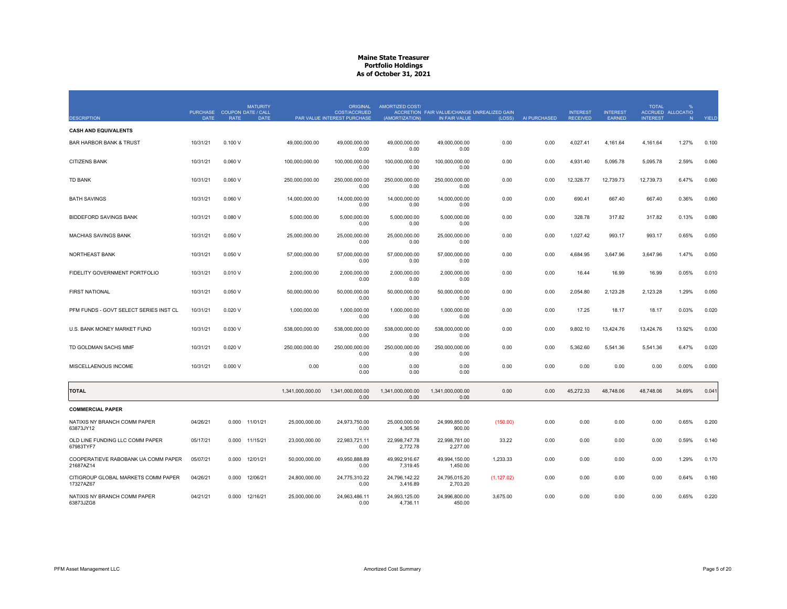|                                                  | PURCHASE COUPON DATE / CALL |             | <b>MATURITY</b> |                  | <b>ORIGINAL</b><br><b>COST/ACCRUED</b> | AMORTIZED COST/           | ACCRETION FAIR VALUE/CHANGE UNREALIZED GAIN |             |              | <b>INTEREST</b> | <b>INTEREST</b> | <b>TOTAL</b>    | %<br>ACCRUED ALLOCATIO |       |
|--------------------------------------------------|-----------------------------|-------------|-----------------|------------------|----------------------------------------|---------------------------|---------------------------------------------|-------------|--------------|-----------------|-----------------|-----------------|------------------------|-------|
| <b>DESCRIPTION</b>                               | <b>DATE</b>                 | <b>RATE</b> | <b>DATE</b>     |                  | PAR VALUE INTEREST PURCHASE            | (AMORTIZATION)            | IN FAIR VALUE                               | (LOSS)      | AI PURCHASED | <b>RECEIVED</b> | <b>EARNED</b>   | <b>INTEREST</b> | N                      | YIELD |
| <b>CASH AND EQUIVALENTS</b>                      |                             |             |                 |                  |                                        |                           |                                             |             |              |                 |                 |                 |                        |       |
| <b>BAR HARBOR BANK &amp; TRUST</b>               | 10/31/21                    | 0.100V      |                 | 49,000,000.00    | 49,000,000.00<br>0.00                  | 49,000,000.00<br>0.00     | 49,000,000.00<br>0.00                       | 0.00        | 0.00         | 4,027.41        | 4,161.64        | 4,161.64        | 1.27%                  | 0.100 |
| <b>CITIZENS BANK</b>                             | 10/31/21                    | 0.060V      |                 | 100,000,000.00   | 100,000,000.00<br>0.00                 | 100,000,000.00<br>0.00    | 100,000,000.00<br>0.00                      | 0.00        | 0.00         | 4,931.40        | 5,095.78        | 5,095.78        | 2.59%                  | 0.060 |
| <b>TD BANK</b>                                   | 10/31/21                    | 0.060V      |                 | 250.000.000.00   | 250.000.000.00<br>0.00                 | 250.000.000.00<br>0.00    | 250,000,000.00<br>0.00                      | 0.00        | 0.00         | 12,328.77       | 12.739.73       | 12.739.73       | 6.47%                  | 0.060 |
| <b>BATH SAVINGS</b>                              | 10/31/21                    | 0.060V      |                 | 14,000,000.00    | 14,000,000.00<br>0.00                  | 14,000,000.00<br>0.00     | 14,000,000.00<br>0.00                       | 0.00        | 0.00         | 690.41          | 667.40          | 667.40          | 0.36%                  | 0.060 |
| <b>BIDDEFORD SAVINGS BANK</b>                    | 10/31/21                    | 0.080V      |                 | 5,000,000.00     | 5.000.000.00<br>0.00                   | 5.000.000.00<br>0.00      | 5.000.000.00<br>0.00                        | 0.00        | 0.00         | 328.78          | 317.82          | 317.82          | 0.13%                  | 0.080 |
| <b>MACHIAS SAVINGS BANK</b>                      | 10/31/21                    | 0.050V      |                 | 25,000,000.00    | 25,000,000.00<br>0.00                  | 25,000,000.00<br>0.00     | 25,000,000.00<br>0.00                       | 0.00        | 0.00         | 1,027.42        | 993.17          | 993.17          | 0.65%                  | 0.050 |
| <b>NORTHEAST BANK</b>                            | 10/31/21                    | 0.050V      |                 | 57,000,000.00    | 57,000,000.00<br>0.00                  | 57,000,000.00<br>0.00     | 57,000,000.00<br>0.00                       | 0.00        | 0.00         | 4,684.95        | 3,647.96        | 3,647.96        | 1.47%                  | 0.050 |
| FIDELITY GOVERNMENT PORTFOLIO                    | 10/31/21                    | 0.010V      |                 | 2,000,000.00     | 2,000,000.00<br>0.00                   | 2,000,000.00<br>0.00      | 2,000,000.00<br>0.00                        | 0.00        | 0.00         | 16.44           | 16.99           | 16.99           | 0.05%                  | 0.010 |
| <b>FIRST NATIONAL</b>                            | 10/31/21                    | 0.050V      |                 | 50,000,000.00    | 50.000.000.00<br>0.00                  | 50.000.000.00<br>0.00     | 50.000.000.00<br>0.00                       | 0.00        | 0.00         | 2.054.80        | 2.123.28        | 2.123.28        | 1.29%                  | 0.050 |
| PFM FUNDS - GOVT SELECT SERIES INST CL           | 10/31/21                    | 0.020V      |                 | 1,000,000.00     | 1,000,000.00<br>0.00                   | 1,000,000.00<br>0.00      | 1,000,000.00<br>0.00                        | 0.00        | 0.00         | 17.25           | 18.17           | 18.17           | 0.03%                  | 0.020 |
| U.S. BANK MONEY MARKET FUND                      | 10/31/21                    | 0.030V      |                 | 538.000.000.00   | 538.000.000.00<br>0.00                 | 538.000.000.00<br>0.00    | 538.000.000.00<br>0.00                      | 0.00        | 0.00         | 9.802.10        | 13.424.76       | 13.424.76       | 13.92%                 | 0.030 |
| TD GOLDMAN SACHS MMF                             | 10/31/21                    | 0.020 V     |                 | 250,000,000.00   | 250,000,000.00<br>0.00                 | 250,000,000.00<br>0.00    | 250,000,000.00<br>0.00                      | 0.00        | 0.00         | 5,362.60        | 5,541.36        | 5,541.36        | 6.47%                  | 0.020 |
| MISCELLAENOUS INCOME                             | 10/31/21                    | 0.000V      |                 | 0.00             | 0.00<br>0.00                           | 0.00<br>0.00              | 0.00<br>0.00                                | 0.00        | 0.00         | 0.00            | 0.00            | 0.00            | 0.00%                  | 0.000 |
| <b>TOTAL</b>                                     |                             |             |                 | 1,341,000,000.00 | 1.341.000.000.00<br>0.00               | 1,341,000,000.00<br>0.00  | 1.341.000.000.00<br>0.00                    | 0.00        | 0.00         | 45,272.33       | 48.748.06       | 48,748.06       | 34.69%                 | 0.041 |
| <b>COMMERCIAL PAPER</b>                          |                             |             |                 |                  |                                        |                           |                                             |             |              |                 |                 |                 |                        |       |
| NATIXIS NY BRANCH COMM PAPER<br>63873JY12        | 04/26/21                    | 0.000       | 11/01/21        | 25,000,000.00    | 24,973,750.00<br>0.00                  | 25,000,000.00<br>4,305.56 | 24,999,850.00<br>900.00                     | (150.00)    | 0.00         | 0.00            | 0.00            | 0.00            | 0.65%                  | 0.200 |
| OLD LINE FUNDING LLC COMM PAPER<br>67983TYF7     | 05/17/21                    |             | 0.000 11/15/21  | 23,000,000.00    | 22,983,721.11<br>0.00                  | 22,998,747.78<br>2,772.78 | 22,998,781.00<br>2,277.00                   | 33.22       | 0.00         | 0.00            | 0.00            | 0.00            | 0.59%                  | 0.140 |
| COOPERATIEVE RABOBANK UA COMM PAPER<br>21687AZ14 | 05/07/21                    | 0.000       | 12/01/21        | 50,000,000.00    | 49,950,888.89<br>0.00                  | 49,992,916.67<br>7,319.45 | 49,994,150.00<br>1,450.00                   | 1,233.33    | 0.00         | 0.00            | 0.00            | 0.00            | 1.29%                  | 0.170 |
| CITIGROUP GLOBAL MARKETS COMM PAPER<br>17327AZ67 | 04/26/21                    | 0.000       | 12/06/21        | 24,800,000.00    | 24,775,310.22<br>0.00                  | 24,796,142.22<br>3,416.89 | 24,795,015.20<br>2,703.20                   | (1, 127.02) | 0.00         | 0.00            | 0.00            | 0.00            | 0.64%                  | 0.160 |
| NATIXIS NY BRANCH COMM PAPER<br>63873JZG8        | 04/21/21                    |             | 0.000 12/16/21  | 25,000,000.00    | 24,963,486.11<br>0.00                  | 24,993,125.00<br>4,736.11 | 24,996,800.00<br>450.00                     | 3,675.00    | 0.00         | 0.00            | 0.00            | 0.00            | 0.65%                  | 0.220 |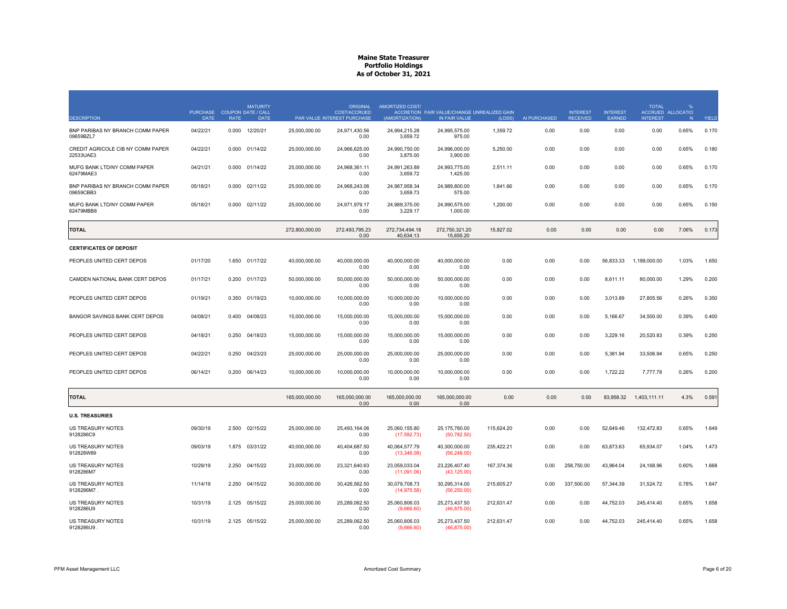| <b>DESCRIPTION</b>                             | <b>PURCHASE</b><br><b>DATE</b> | <b>COUPON DATE / CALL</b><br><b>RATE</b> | <b>MATURITY</b><br><b>DATE</b> |                | <b>ORIGINAL</b><br><b>COST/ACCRUED</b><br>PAR VALUE INTEREST PURCHASE | AMORTIZED COST/<br>(AMORTIZATION) | ACCRETION FAIR VALUE/CHANGE UNREALIZED GAIN<br>IN FAIR VALUE | (LOSS)     | AI PURCHASED | <b>INTEREST</b><br><b>RECEIVED</b> | <b>INTEREST</b><br><b>EARNED</b> | <b>TOTAL</b><br><b>INTEREST</b> | ACCRUED ALLOCATIO<br>N | YIELD |
|------------------------------------------------|--------------------------------|------------------------------------------|--------------------------------|----------------|-----------------------------------------------------------------------|-----------------------------------|--------------------------------------------------------------|------------|--------------|------------------------------------|----------------------------------|---------------------------------|------------------------|-------|
| BNP PARIBAS NY BRANCH COMM PAPER<br>09659BZL7  | 04/22/21                       | 0.000                                    | 12/20/21                       | 25,000,000.00  | 24,971,430.56<br>0.00                                                 | 24,994,215.28<br>3,659.72         | 24,995,575.00<br>975.00                                      | 1,359.72   | 0.00         | 0.00                               | 0.00                             | 0.00                            | 0.65%                  | 0.170 |
| CREDIT AGRICOLE CIB NY COMM PAPER<br>22533UAE3 | 04/22/21                       | 0.000                                    | 01/14/22                       | 25,000,000.00  | 24.966.625.00<br>0.00                                                 | 24,990,750.00<br>3,875.00         | 24,996,000.00<br>3,900.00                                    | 5,250.00   | 0.00         | 0.00                               | 0.00                             | 0.00                            | 0.65%                  | 0.180 |
| MUFG BANK LTD/NY COMM PAPER<br>62479MAE3       | 04/21/21                       | 0.000                                    | 01/14/22                       | 25,000,000,00  | 24.968.361.11<br>0.00                                                 | 24.991.263.89<br>3,659.72         | 24.993.775.00<br>1,425.00                                    | 2.511.11   | 0.00         | 0.00                               | 0.00                             | 0.00                            | 0.65%                  | 0.170 |
| BNP PARIBAS NY BRANCH COMM PAPER<br>09659CBB3  | 05/18/21                       | 0.000                                    | 02/11/22                       | 25,000,000.00  | 24,968,243.06<br>0.00                                                 | 24,987,958.34<br>3,659.73         | 24,989,800.00<br>575.00                                      | 1,841.66   | 0.00         | 0.00                               | 0.00                             | 0.00                            | 0.65%                  | 0.170 |
| MUFG BANK LTD/NY COMM PAPER<br>62479MBB8       | 05/18/21                       | 0.000                                    | 02/11/22                       | 25,000,000.00  | 24,971,979.17<br>0.00                                                 | 24,989,375.00<br>3,229.17         | 24,990,575.00<br>1,000.00                                    | 1,200.00   | 0.00         | 0.00                               | 0.00                             | 0.00                            | 0.65%                  | 0.150 |
| <b>TOTAL</b>                                   |                                |                                          |                                | 272,800,000.00 | 272.493.795.23<br>0.00                                                | 272.734.494.18<br>40,634.13       | 272.750.321.20<br>15,655.20                                  | 15,827.02  | 0.00         | 0.00                               | 0.00                             | 0.00                            | 7.06%                  | 0.173 |
| <b>CERTIFICATES OF DEPOSIT</b>                 |                                |                                          |                                |                |                                                                       |                                   |                                                              |            |              |                                    |                                  |                                 |                        |       |
| PEOPLES UNITED CERT DEPOS                      | 01/17/20                       | 1.650                                    | 01/17/22                       | 40,000,000.00  | 40.000.000.00<br>0.00                                                 | 40.000.000.00<br>0.00             | 40.000.000.00<br>0.00                                        | 0.00       | 0.00         | 0.00                               | 56,833.33                        | 1,199,000.00                    | 1.03%                  | 1.650 |
| CAMDEN NATIONAL BANK CERT DEPOS                | 01/17/21                       | 0.200                                    | 01/17/23                       | 50,000,000.00  | 50,000,000.00<br>0.00                                                 | 50,000,000.00<br>0.00             | 50,000,000.00<br>0.00                                        | 0.00       | 0.00         | 0.00                               | 8,611.11                         | 80,000.00                       | 1.29%                  | 0.200 |
| PEOPLES UNITED CERT DEPOS                      | 01/19/21                       | 0.350                                    | 01/19/23                       | 10,000,000.00  | 10,000,000.00<br>0.00                                                 | 10,000,000.00<br>0.00             | 10,000,000.00<br>0.00                                        | 0.00       | 0.00         | 0.00                               | 3,013.89                         | 27,805.56                       | 0.26%                  | 0.350 |
| BANGOR SAVINGS BANK CERT DEPOS                 | 04/08/21                       | 0.400                                    | 04/08/23                       | 15,000,000.00  | 15,000,000.00<br>0.00                                                 | 15,000,000.00<br>0.00             | 15,000,000.00<br>0.00                                        | 0.00       | 0.00         | 0.00                               | 5,166.67                         | 34,500.00                       | 0.39%                  | 0.400 |
| PEOPLES UNITED CERT DEPOS                      | 04/18/21                       | 0.250                                    | 04/18/23                       | 15,000,000.00  | 15,000,000.00<br>0.00                                                 | 15,000,000.00<br>0.00             | 15,000,000.00<br>0.00                                        | 0.00       | 0.00         | 0.00                               | 3,229.16                         | 20,520.83                       | 0.39%                  | 0.250 |
| PEOPLES UNITED CERT DEPOS                      | 04/22/21                       | 0.250                                    | 04/23/23                       | 25,000,000.00  | 25,000,000.00<br>0.00                                                 | 25,000,000.00<br>0.00             | 25,000,000.00<br>0.00                                        | 0.00       | 0.00         | 0.00                               | 5,381.94                         | 33,506.94                       | 0.65%                  | 0.250 |
| PEOPLES UNITED CERT DEPOS                      | 06/14/21                       | 0.200                                    | 06/14/23                       | 10,000,000.00  | 10,000,000.00<br>0.00                                                 | 10,000,000.00<br>0.00             | 10,000,000.00<br>0.00                                        | 0.00       | 0.00         | 0.00                               | 1,722.22                         | 7,777.78                        | 0.26%                  | 0.200 |
| <b>TOTAL</b>                                   |                                |                                          |                                | 165,000,000.00 | 165,000,000.00<br>0.00                                                | 165,000,000.00<br>0.00            | 165,000,000.00<br>0.00                                       | 0.00       | 0.00         | 0.00                               | 83,958.32                        | 1,403,111.11                    | 4.3%                   | 0.591 |
| <b>U.S. TREASURIES</b>                         |                                |                                          |                                |                |                                                                       |                                   |                                                              |            |              |                                    |                                  |                                 |                        |       |
| <b>US TREASURY NOTES</b><br>9128286C9          | 09/30/19                       | 2.500                                    | 02/15/22                       | 25,000,000.00  | 25,493,164.06<br>0.00                                                 | 25.060.155.80<br>(17, 592.73)     | 25,175,780.00<br>(50, 782.50)                                | 115,624.20 | 0.00         | 0.00                               | 52,649.46                        | 132,472.83                      | 0.65%                  | 1.649 |
| <b>US TREASURY NOTES</b><br>912828W89          | 09/03/19                       | 1.875                                    | 03/31/22                       | 40,000,000.00  | 40,404,687.50<br>0.00                                                 | 40,064,577.79<br>(13,346.08)      | 40,300,000.00<br>(56, 248.00)                                | 235,422.21 | 0.00         | 0.00                               | 63,873.63                        | 65,934.07                       | 1.04%                  | 1.473 |
| US TREASURY NOTES<br>9128286M7                 | 10/29/19                       | 2.250                                    | 04/15/22                       | 23,000,000.00  | 23,321,640.63<br>0.00                                                 | 23,059,033.04<br>(11,091.06)      | 23,226,407.40<br>(43, 125.00)                                | 167,374.36 | 0.00         | 258,750.00                         | 43,964.04                        | 24,168.96                       | 0.60%                  | 1.668 |
| <b>US TREASURY NOTES</b><br>9128286M7          | 11/14/19                       | 2.250                                    | 04/15/22                       | 30.000.000.00  | 30.426.562.50<br>0.00                                                 | 30.079.708.73<br>(14, 975.58)     | 30.295.314.00<br>(56, 250.00)                                | 215,605.27 | 0.00         | 337.500.00                         | 57.344.39                        | 31.524.72                       | 0.78%                  | 1.647 |
| US TREASURY NOTES<br>9128286U9                 | 10/31/19                       | 2.125                                    | 05/15/22                       | 25,000,000.00  | 25,289,062.50<br>0.00                                                 | 25,060,806.03<br>(9,666.60)       | 25,273,437.50<br>(46, 875.00)                                | 212,631.47 | 0.00         | 0.00                               | 44,752.03                        | 245,414.40                      | 0.65%                  | 1.658 |
| <b>US TREASURY NOTES</b><br>9128286U9          | 10/31/19                       |                                          | 2.125 05/15/22                 | 25,000,000.00  | 25,289,062.50<br>0.00                                                 | 25,060,806.03<br>(9,666.60)       | 25,273,437.50<br>(46,875.00)                                 | 212,631.47 | 0.00         | 0.00                               | 44,752.03                        | 245,414.40                      | 0.65%                  | 1.658 |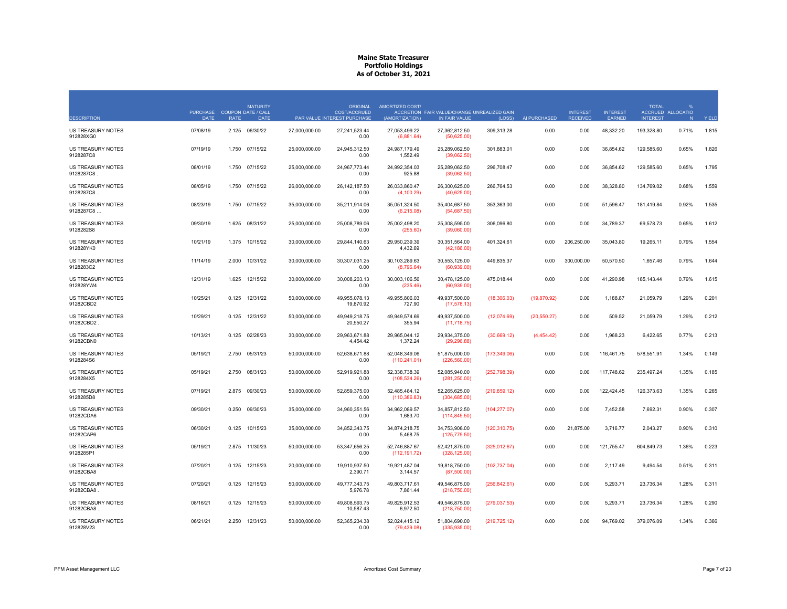|                                        | <b>PURCHASE</b> |             | <b>MATURITY</b><br><b>COUPON DATE / CALL</b> |               | ORIGINAL<br><b>COST/ACCRUED</b> | AMORTIZED COST/                | ACCRETION FAIR VALUE/CHANGE UNREALIZED GAIN |               |              | <b>INTEREST</b> | <b>INTEREST</b> | <b>TOTAL</b>    | ACCRUED ALLOCATIO |       |
|----------------------------------------|-----------------|-------------|----------------------------------------------|---------------|---------------------------------|--------------------------------|---------------------------------------------|---------------|--------------|-----------------|-----------------|-----------------|-------------------|-------|
| <b>DESCRIPTION</b>                     | DATE            | <b>RATE</b> | <b>DATE</b>                                  |               | PAR VALUE INTEREST PURCHASE     | (AMORTIZATION)                 | IN FAIR VALUE                               | $(1)$ $OSS$   | AI PURCHASED | <b>RECEIVED</b> | EARNED          | <b>INTEREST</b> | N                 | YIELD |
| US TREASURY NOTES<br>912828XG0         | 07/08/19        |             | 2.125 06/30/22                               | 27,000,000.00 | 27,241,523.44<br>0.00           | 27,053,499.22<br>(6,881.64)    | 27,362,812.50<br>(50,625.00)                | 309,313.28    | 0.00         | 0.00            | 48,332.20       | 193,328.80      | 0.71%             | 1.815 |
| <b>US TREASURY NOTES</b><br>9128287C8  | 07/19/19        | 1.750       | 07/15/22                                     | 25,000,000.00 | 24.945.312.50<br>0.00           | 24,987,179.49<br>1,552.49      | 25,289,062.50<br>(39,062.50)                | 301,883.01    | 0.00         | 0.00            | 36,854.62       | 129,585.60      | 0.65%             | 1.826 |
| <b>US TREASURY NOTES</b><br>9128287C8  | 08/01/19        | 1.750       | 07/15/22                                     | 25,000,000.00 | 24,967,773.44<br>0.00           | 24,992,354.03<br>925.88        | 25,289,062.50<br>(39,062.50)                | 296,708.47    | 0.00         | 0.00            | 36,854.62       | 129,585.60      | 0.65%             | 1.795 |
| <b>US TREASURY NOTES</b><br>9128287C8. | 08/05/19        | 1.750       | 07/15/22                                     | 26,000,000.00 | 26, 142, 187.50<br>0.00         | 26,033,860.47<br>(4, 100.29)   | 26,300,625.00<br>(40,625.00)                | 266,764.53    | 0.00         | 0.00            | 38,328.80       | 134,769.02      | 0.68%             | 1.559 |
| <b>US TREASURY NOTES</b><br>9128287C8  | 08/23/19        | 1.750       | 07/15/22                                     | 35,000,000.00 | 35,211,914.06<br>0.00           | 35,051,324.50<br>(6,215.08)    | 35,404,687.50<br>(54,687.50)                | 353,363.00    | 0.00         | 0.00            | 51,596.47       | 181,419.84      | 0.92%             | 1.535 |
| <b>US TREASURY NOTES</b><br>9128282S8  | 09/30/19        | 1.625       | 08/31/22                                     | 25,000,000.00 | 25,008,789.06<br>0.00           | 25,002,498.20<br>(255.60)      | 25,308,595.00<br>(39,060.00)                | 306,096.80    | 0.00         | 0.00            | 34,789.37       | 69,578.73       | 0.65%             | 1.612 |
| <b>US TREASURY NOTES</b><br>912828YK0  | 10/21/19        | 1.375       | 10/15/22                                     | 30,000,000.00 | 29,844,140.63<br>0.00           | 29,950,239.39<br>4,432.69      | 30,351,564.00<br>(42, 186.00)               | 401,324.61    | 0.00         | 206,250.00      | 35,043.80       | 19,265.11       | 0.79%             | 1.554 |
| <b>US TREASURY NOTES</b><br>9128283C2  | 11/14/19        | 2.000       | 10/31/22                                     | 30,000,000.00 | 30,307,031.25<br>0.00           | 30,103,289.63<br>(8,796.64)    | 30,553,125.00<br>(60,939.00)                | 449,835.37    | 0.00         | 300,000.00      | 50,570.50       | 1,657.46        | 0.79%             | 1.644 |
| <b>US TREASURY NOTES</b><br>912828YW4  | 12/31/19        | 1.625       | 12/15/22                                     | 30,000,000.00 | 30,008,203.13<br>0.00           | 30,003,106.56<br>(235.46)      | 30,478,125.00<br>(60, 939.00)               | 475,018.44    | 0.00         | 0.00            | 41,290.98       | 185, 143.44     | 0.79%             | 1.615 |
| US TREASURY NOTES<br>91282CBD2         | 10/25/21        | 0.125       | 12/31/22                                     | 50,000,000.00 | 49,955,078.13<br>19,870.92      | 49,955,806.03<br>727.90        | 49,937,500.00<br>(17, 578.13)               | (18,306.03)   | (19,870.92)  | 0.00            | 1,188.87        | 21,059.79       | 1.29%             | 0.201 |
| US TREASURY NOTES<br>91282CBD2         | 10/29/21        | 0.125       | 12/31/22                                     | 50,000,000.00 | 49,949,218.75<br>20,550.27      | 49.949.574.69<br>355.94        | 49,937,500.00<br>(11,718.75)                | (12,074.69)   | (20, 550.27) | 0.00            | 509.52          | 21,059.79       | 1.29%             | 0.212 |
| US TREASURY NOTES<br>91282CBN0         | 10/13/21        | 0.125       | 02/28/23                                     | 30.000.000.00 | 29.963.671.88<br>4,454.42       | 29.965.044.12<br>1,372.24      | 29.934.375.00<br>(29, 296.88)               | (30,669.12)   | (4,454.42)   | 0.00            | 1.968.23        | 6.422.65        | 0.77%             | 0.213 |
| US TREASURY NOTES<br>9128284S6         | 05/19/21        | 2.750       | 05/31/23                                     | 50,000,000.00 | 52.638.671.88<br>0.00           | 52.048.349.06<br>(110, 241.01) | 51,875,000.00<br>(226, 560.00)              | (173, 349.06) | 0.00         | 0.00            | 116.461.75      | 578,551.91      | 1.34%             | 0.149 |
| US TREASURY NOTES<br>9128284X5         | 05/19/21        | 2.750       | 08/31/23                                     | 50,000,000.00 | 52,919,921.88<br>0.00           | 52,338,738.39<br>(108, 534.26) | 52,085,940.00<br>(281, 250.00)              | (252, 798.39) | 0.00         | 0.00            | 117,748.62      | 235,497.24      | 1.35%             | 0.185 |
| <b>US TREASURY NOTES</b><br>9128285D8  | 07/19/21        | 2.875       | 09/30/23                                     | 50,000,000.00 | 52,859,375.00<br>0.00           | 52,485,484.12<br>(110, 386.83) | 52,265,625.00<br>(304, 685.00)              | (219, 859.12) | 0.00         | 0.00            | 122,424.45      | 126,373.63      | 1.35%             | 0.265 |
| <b>US TREASURY NOTES</b><br>91282CDA6  | 09/30/21        | 0.250       | 09/30/23                                     | 35,000,000.00 | 34,960,351.56<br>0.00           | 34,962,089.57<br>1,683.70      | 34,857,812.50<br>(114, 845.50)              | (104, 277.07) | 0.00         | 0.00            | 7,452.58        | 7,692.31        | 0.90%             | 0.307 |
| <b>US TREASURY NOTES</b><br>91282CAP6  | 06/30/21        | 0.125       | 10/15/23                                     | 35,000,000.00 | 34,852,343.75<br>0.00           | 34,874,218.75<br>5,468.75      | 34,753,908.00<br>(125, 779.50)              | (120, 310.75) | 0.00         | 21,875.00       | 3,716.77        | 2,043.27        | 0.90%             | 0.310 |
| <b>US TREASURY NOTES</b><br>9128285P1  | 05/19/21        | 2.875       | 11/30/23                                     | 50,000,000.00 | 53,347,656.25<br>0.00           | 52.746.887.67<br>(112, 191.72) | 52,421,875.00<br>(328, 125.00)              | (325,012.67)  | 0.00         | 0.00            | 121,755.47      | 604,849.73      | 1.36%             | 0.223 |
| US TREASURY NOTES<br>91282CBA8         | 07/20/21        | 0.125       | 12/15/23                                     | 20,000,000.00 | 19,910,937.50<br>2,390.71       | 19,921,487.04<br>3,144.57      | 19,818,750.00<br>(87,500.00)                | (102, 737.04) | 0.00         | 0.00            | 2,117.49        | 9.494.54        | 0.51%             | 0.311 |
| US TREASURY NOTES<br>91282CBA8         | 07/20/21        | 0.125       | 12/15/23                                     | 50,000,000.00 | 49,777,343.75<br>5,976.78       | 49,803,717.61<br>7,861.44      | 49,546,875.00<br>(218,750.00)               | (256, 842.61) | 0.00         | 0.00            | 5,293.71        | 23,736.34       | 1.28%             | 0.311 |
| <b>US TREASURY NOTES</b><br>91282CBA8. | 08/16/21        | 0.125       | 12/15/23                                     | 50,000,000.00 | 49,808,593.75<br>10,587.43      | 49,825,912.53<br>6,972.50      | 49,546,875.00<br>(218,750.00)               | (279, 037.53) | 0.00         | 0.00            | 5,293.71        | 23,736.34       | 1.28%             | 0.290 |
| <b>US TREASURY NOTES</b><br>912828V23  | 06/21/21        | 2.250       | 12/31/23                                     | 50,000,000.00 | 52,365,234.38<br>0.00           | 52,024,415.12<br>(79.439.08)   | 51,804,690.00<br>(335.935.00)               | (219, 725.12) | 0.00         | 0.00            | 94,769.02       | 379,076.09      | 1.34%             | 0.366 |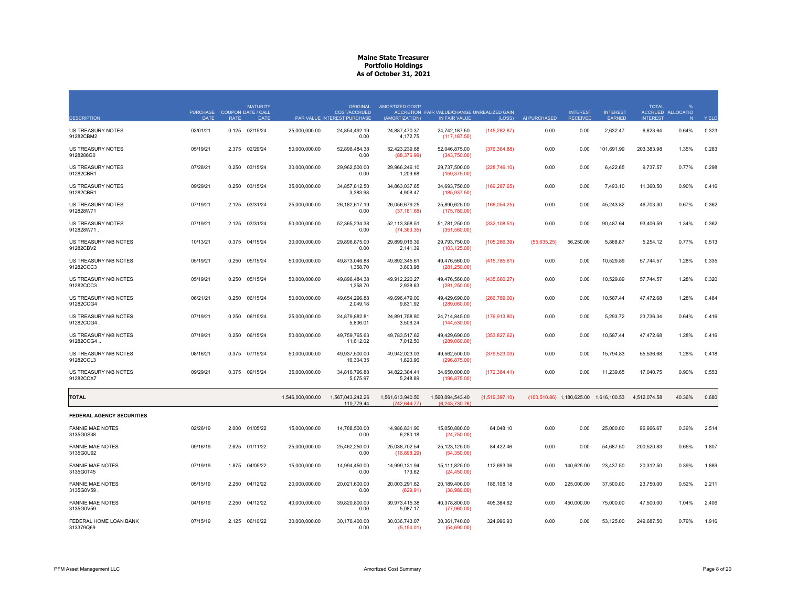| <b>DESCRIPTION</b>                    | <b>PURCHASE</b><br><b>DATE</b> | <b>RATE</b> | <b>MATURITY</b><br><b>COUPON DATE / CALL</b><br><b>DATE</b> |                  | ORIGINAL<br><b>COST/ACCRUED</b><br>PAR VALUE INTEREST PURCHASE | AMORTIZED COST/<br>(AMORTIZATION) | ACCRETION FAIR VALUE/CHANGE UNREALIZED GAIN<br>IN FAIR VALUE | (LOSS)         | AI PURCHASED | <b>INTEREST</b><br><b>RECEIVED</b>     | <b>INTEREST</b><br><b>EARNED</b> | <b>TOTAL</b><br><b>INTEREST</b> | ACCRUED ALLOCATIO<br>N | YIELD |
|---------------------------------------|--------------------------------|-------------|-------------------------------------------------------------|------------------|----------------------------------------------------------------|-----------------------------------|--------------------------------------------------------------|----------------|--------------|----------------------------------------|----------------------------------|---------------------------------|------------------------|-------|
| US TREASURY NOTES<br>91282CBM2        | 03/01/21                       |             | 0.125 02/15/24                                              | 25,000,000.00    | 24,854,492.19<br>0.00                                          | 24,887,470.37<br>4,172.75         | 24,742,187.50<br>(117, 187.50)                               | (145, 282.87)  | 0.00         | 0.00                                   | 2,632.47                         | 6,623.64                        | 0.64%                  | 0.323 |
| <b>US TREASURY NOTES</b><br>9128286G0 | 05/19/21                       | 2.375       | 02/29/24                                                    | 50.000.000.00    | 52.896.484.38<br>0.00                                          | 52.423.239.88<br>(88, 376.99)     | 52.046.875.00<br>(343,750.00)                                | (376, 364.88)  | 0.00         | 0.00                                   | 101.691.99                       | 203.383.98                      | 1.35%                  | 0.283 |
| <b>US TREASURY NOTES</b><br>91282CBR1 | 07/28/21                       | 0.250       | 03/15/24                                                    | 30,000,000.00    | 29,962,500.00<br>0.00                                          | 29,966,246.10<br>1,209.68         | 29,737,500.00<br>(159, 375.00)                               | (228, 746.10)  | 0.00         | 0.00                                   | 6,422.65                         | 9,737.57                        | 0.77%                  | 0.298 |
| US TREASURY NOTES<br>91282CBR1.       | 09/29/21                       | 0.250       | 03/15/24                                                    | 35,000,000.00    | 34,857,812.50<br>3,383.98                                      | 34,863,037.65<br>4,908.47         | 34,693,750.00<br>(185, 937.50)                               | (169, 287.65)  | 0.00         | 0.00                                   | 7,493.10                         | 11,360.50                       | 0.90%                  | 0.416 |
| <b>US TREASURY NOTES</b><br>912828W71 | 07/19/21                       | 2.125       | 03/31/24                                                    | 25,000,000.00    | 26, 182, 617. 19<br>0.00                                       | 26,056,679.25<br>(37, 181.68)     | 25,890,625.00<br>(175, 780.00)                               | (166, 054.25)  | 0.00         | 0.00                                   | 45,243.82                        | 46,703.30                       | 0.67%                  | 0.362 |
| US TREASURY NOTES<br>912828W71.       | 07/19/21                       | 2.125       | 03/31/24                                                    | 50,000,000.00    | 52,365,234.38<br>0.00                                          | 52,113,358.51<br>(74, 363.35)     | 51,781,250.00<br>(351,560.00)                                | (332, 108.51)  | 0.00         | 0.00                                   | 90,487.64                        | 93,406.59                       | 1.34%                  | 0.362 |
| US TREASURY N/B NOTES<br>91282CBV2    | 10/13/21                       |             | 0.375 04/15/24                                              | 30,000,000.00    | 29,896,875.00<br>0.00                                          | 29,899,016.39<br>2,141.39         | 29,793,750.00<br>(103, 125.00)                               | (105, 266.39)  | (55,635.25)  | 56.250.00                              | 5,868.87                         | 5.254.12                        | 0.77%                  | 0.513 |
| US TREASURY N/B NOTES<br>91282CCC3    | 05/19/21                       | 0.250       | 05/15/24                                                    | 50,000,000.00    | 49,873,046.88<br>1,358.70                                      | 49,892,345.61<br>3,603.98         | 49,476,560.00<br>(281, 250.00)                               | (415, 785.61)  | 0.00         | 0.00                                   | 10,529.89                        | 57,744.57                       | 1.28%                  | 0.335 |
| US TREASURY N/B NOTES<br>91282CCC3    | 05/19/21                       | 0.250       | 05/15/24                                                    | 50,000,000.00    | 49,896,484.38<br>1.358.70                                      | 49,912,220.27<br>2.938.63         | 49,476,560.00<br>(281, 250.00)                               | (435,660.27)   | 0.00         | 0.00                                   | 10,529.89                        | 57,744.57                       | 1.28%                  | 0.320 |
| US TREASURY N/B NOTES<br>91282CCG4    | 06/21/21                       | 0.250       | 06/15/24                                                    | 50,000,000.00    | 49,654,296.88<br>2,049.18                                      | 49,696,479.00<br>9,831.92         | 49,429,690.00<br>(289,060.00)                                | (266, 789.00)  | 0.00         | 0.00                                   | 10,587.44                        | 47,472.68                       | 1.28%                  | 0.484 |
| US TREASURY N/B NOTES<br>91282CCG4    | 07/19/21                       | 0.250       | 06/15/24                                                    | 25.000.000.00    | 24.879.882.81<br>5,806.01                                      | 24.891.758.80<br>3,506.24         | 24.714.845.00<br>(144, 530.00)                               | (176, 913.80)  | 0.00         | 0.00                                   | 5.293.72                         | 23.736.34                       | 0.64%                  | 0.416 |
| US TREASURY N/B NOTES<br>91282CCG4    | 07/19/21                       | 0.250       | 06/15/24                                                    | 50,000,000.00    | 49,759,765.63<br>11,612.02                                     | 49,783,517.62<br>7,012.50         | 49,429,690.00<br>(289,060.00)                                | (353,827.62)   | 0.00         | 0.00                                   | 10,587.44                        | 47,472.68                       | 1.28%                  | 0.416 |
| US TREASURY N/B NOTES<br>91282CCL3    | 08/16/21                       | 0.375       | 07/15/24                                                    | 50,000,000.00    | 49,937,500.00<br>16,304.35                                     | 49,942,023.03<br>1,820.96         | 49,562,500.00<br>(296, 875.00)                               | (379, 523.03)  | 0.00         | 0.00                                   | 15,794.83                        | 55,536.68                       | 1.28%                  | 0.418 |
| US TREASURY N/B NOTES<br>91282CCX7    | 09/29/21                       | 0.375       | 09/15/24                                                    | 35,000,000.00    | 34.816.796.88<br>5,075.97                                      | 34.822.384.41<br>5,248.89         | 34,650,000.00<br>(196, 875.00)                               | (172, 384.41)  | 0.00         | 0.00                                   | 11.239.65                        | 17,040.75                       | 0.90%                  | 0.553 |
| <b>TOTAL</b>                          |                                |             |                                                             | 1,546,000,000.00 | 1,567,043,242.26<br>110,779.44                                 | 1,561,613,940.50<br>(742, 644.77) | 1,560,094,543.40<br>(6,243,730.76)                           | (1,519,397.10) |              | (100,510.86) 1,180,625.00 1,616,100.53 |                                  | 4,512,074.58                    | 40.36%                 | 0.680 |
| <b>FEDERAL AGENCY SECURITIES</b>      |                                |             |                                                             |                  |                                                                |                                   |                                                              |                |              |                                        |                                  |                                 |                        |       |
| <b>FANNIE MAE NOTES</b><br>3135G0S38  | 02/26/19                       | 2.000       | 01/05/22                                                    | 15,000,000.00    | 14,788,500.00<br>0.00                                          | 14,986,831.90<br>6,280.18         | 15,050,880.00<br>(24,750.00)                                 | 64,048.10      | 0.00         | 0.00                                   | 25,000.00                        | 96,666.67                       | 0.39%                  | 2.514 |
| <b>FANNIE MAE NOTES</b><br>3135G0U92  | 09/16/19                       | 2.625       | 01/11/22                                                    | 25,000,000.00    | 25,462,250.00<br>0.00                                          | 25,038,702.54<br>(16,898.29)      | 25, 123, 125.00<br>(54,350.00)                               | 84,422.46      | 0.00         | 0.00                                   | 54,687.50                        | 200,520.83                      | 0.65%                  | 1.807 |
| <b>FANNIE MAE NOTES</b><br>3135G0T45  | 07/19/19                       |             | 1.875 04/05/22                                              | 15,000,000.00    | 14,994,450.00<br>0.00                                          | 14,999,131.94<br>173.62           | 15,111,825.00<br>(24, 450.00)                                | 112,693.06     | 0.00         | 140,625.00                             | 23,437.50                        | 20,312.50                       | 0.39%                  | 1.889 |
| <b>FANNIE MAE NOTES</b><br>3135G0V59  | 05/15/19                       | 2.250       | 04/12/22                                                    | 20.000.000.00    | 20.021.600.00<br>0.00                                          | 20.003.291.82<br>(629.91)         | 20.189.400.00<br>(38,980.00)                                 | 186.108.18     | 0.00         | 225,000.00                             | 37,500.00                        | 23.750.00                       | 0.52%                  | 2.211 |
| <b>FANNIE MAE NOTES</b><br>3135G0V59  | 04/16/19                       | 2.250       | 04/12/22                                                    | 40,000,000.00    | 39,820,800.00<br>0.00                                          | 39,973,415.38<br>5,087.17         | 40,378,800.00<br>(77,960.00)                                 | 405,384.62     | 0.00         | 450,000.00                             | 75,000.00                        | 47,500.00                       | 1.04%                  | 2.406 |
| FEDERAL HOME LOAN BANK<br>313379Q69   | 07/15/19                       |             | 2.125 06/10/22                                              | 30,000,000.00    | 30,176,400.00<br>0.00                                          | 30,036,743.07<br>(5, 154.01)      | 30,361,740.00<br>(54,690.00)                                 | 324,996.93     | 0.00         | 0.00                                   | 53,125.00                        | 249,687.50                      | 0.79%                  | 1.916 |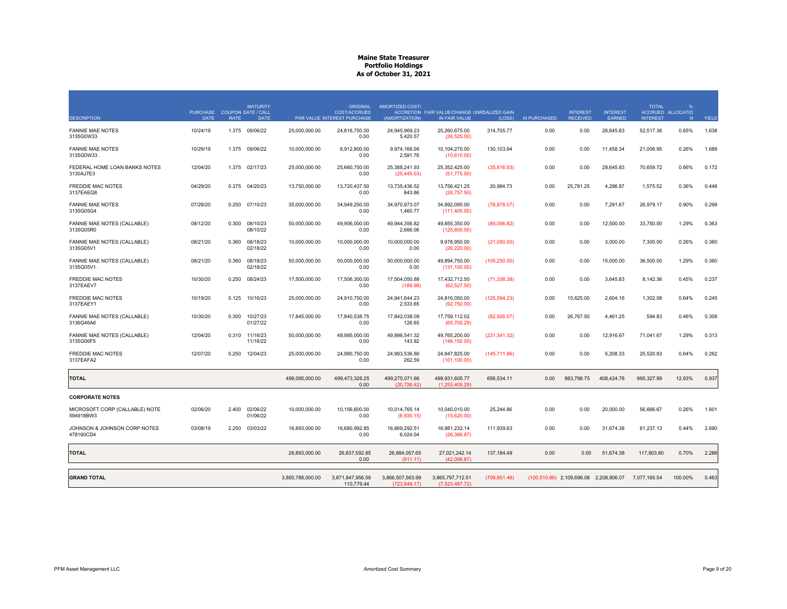|                                             | PURCHASE COUPON DATE / CALL |             | <b>MATURITY</b>      |                  | <b>ORIGINAL</b><br><b>COST/ACCRUED</b> | AMORTIZED COST/                  | ACCRETION FAIR VALUE/CHANGE UNREALIZED GAIN |               |              | <b>INTEREST</b>                                     | <b>INTEREST</b> | <b>TOTAL</b>    | $\frac{9}{6}$<br>ACCRUED ALLOCATIO |       |
|---------------------------------------------|-----------------------------|-------------|----------------------|------------------|----------------------------------------|----------------------------------|---------------------------------------------|---------------|--------------|-----------------------------------------------------|-----------------|-----------------|------------------------------------|-------|
| <b>DESCRIPTION</b>                          | <b>DATE</b>                 | <b>RATE</b> | <b>DATE</b>          |                  | PAR VALUE INTEREST PURCHASE            | (AMORTIZATION)                   | IN FAIR VALUE                               | (LOSS)        | AI PURCHASED | <b>RECEIVED</b>                                     | <b>EARNED</b>   | <b>INTEREST</b> | N                                  | YIELD |
| <b>FANNIE MAE NOTES</b><br>3135G0W33        | 10/24/19                    |             | 1.375 09/06/22       | 25,000,000.00    | 24.816.750.00<br>0.00                  | 24.945.969.23<br>5,420.57        | 25.260.675.00<br>(26, 525.00)               | 314,705.77    | 0.00         | 0.00                                                | 28,645.83       | 52,517.36       | 0.65%                              | 1.638 |
| <b>FANNIE MAE NOTES</b><br>3135G0W33        | 10/29/19                    | 1.375       | 09/06/22             | 10,000,000.00    | 9.912.800.00<br>0.00                   | 9,974,166.06<br>2,591.76         | 10,104,270.00<br>(10,610.00)                | 130,103.94    | 0.00         | 0.00                                                | 11,458.34       | 21,006.95       | 0.26%                              | 1.689 |
| FEDERAL HOME LOAN BANKS NOTES<br>3130AJ7E3  | 12/04/20                    |             | 1.375 02/17/23       | 25,000,000.00    | 25,660,750.00<br>0.00                  | 25,388,241.93<br>(25, 445.03)    | 25,352,425.00<br>(51,775.00)                | (35,816.93)   | 0.00         | 0.00                                                | 28,645.83       | 70,659.72       | 0.66%                              | 0.172 |
| <b>FREDDIE MAC NOTES</b><br>3137EAEQ8       | 04/29/20                    | 0.375       | 04/20/23             | 13,750,000.00    | 13,720,437.50<br>0.00                  | 13,735,436.52<br>843.86          | 13,756,421.25<br>(26, 757.50)               | 20,984.73     | 0.00         | 25,781.25                                           | 4,296.87        | 1,575.52        | 0.36%                              | 0.448 |
| <b>FANNIE MAE NOTES</b><br>3135G05G4        | 07/28/20                    | 0.250       | 07/10/23             | 35,000,000.00    | 34,949,250.00<br>0.00                  | 34,970,973.07<br>1.460.77        | 34,892,095.00<br>(111, 405.00)              | (78, 878.07)  | 0.00         | 0.00                                                | 7,291.67        | 26,979.17       | 0.90%                              | 0.299 |
| FANNIE MAE NOTES (CALLABLE)<br>3135G05R0    | 08/12/20                    | 0.300       | 08/10/23<br>08/10/22 | 50,000,000.00    | 49,906,000.00<br>0.00                  | 49,944,356.82<br>2,666.06        | 49,855,350.00<br>(125,600.00)               | (89,006.82)   | 0.00         | 0.00                                                | 12,500.00       | 33,750.00       | 1.29%                              | 0.363 |
| FANNIE MAE NOTES (CALLABLE)<br>3135G05V1    | 08/21/20                    | 0.360       | 08/18/23<br>02/18/22 | 10,000,000.00    | 10,000,000.00<br>0.00                  | 10,000,000.00<br>0.00            | 9,978,950.00<br>(26, 220.00)                | (21,050.00)   | 0.00         | 0.00                                                | 3,000.00        | 7,300.00        | 0.26%                              | 0.360 |
| FANNIE MAE NOTES (CALLABLE)<br>3135G05V1.   | 08/21/20                    | 0.360       | 08/18/23<br>02/18/22 | 50,000,000.00    | 50,000,000.00<br>0.00                  | 50,000,000.00<br>0.00            | 49,894,750.00<br>(131, 100.00)              | (105, 250.00) | 0.00         | 0.00                                                | 15,000.00       | 36,500.00       | 1.29%                              | 0.360 |
| <b>FREDDIE MAC NOTES</b><br>3137EAEV7       | 10/30/20                    | 0.250       | 08/24/23             | 17,500,000.00    | 17,506,300.00<br>0.00                  | 17,504,050.88<br>(189.98)        | 17,432,712.50<br>(62,527.50)                | (71, 338.38)  | 0.00         | 0.00                                                | 3,645.83        | 8,142.36        | 0.45%                              | 0.237 |
| <b>FREDDIE MAC NOTES</b><br>3137EAEY1       | 10/19/20                    | 0.125       | 10/16/23             | 25,000,000.00    | 24.910.750.00<br>0.00                  | 24,941,644.23<br>2,533.65        | 24,816,050.00<br>(92,750.00)                | (125, 594.23) | 0.00         | 15,625.00                                           | 2,604.16        | 1.302.08        | 0.64%                              | 0.245 |
| FANNIE MAE NOTES (CALLABLE)<br>3136G46A6    | 10/30/20                    | 0.300       | 10/27/23<br>01/27/22 | 17,845,000.00    | 17,840,538.75<br>0.00                  | 17,842,038.09<br>126.65          | 17,759,112.02<br>(65,705.29)                | (82,926.07)   | 0.00         | 26,767.50                                           | 4,461.25        | 594.83          | 0.46%                              | 0.308 |
| FANNIE MAE NOTES (CALLABLE)<br>3135G06F5    | 12/04/20                    | 0.310       | 11/16/23<br>11/16/22 | 50.000.000.00    | 49.995.000.00<br>0.00                  | 49.996.541.32<br>143.92          | 49.765.200.00<br>(146, 150.00)              | (231, 341.32) | 0.00         | 0.00                                                | 12,916.67       | 71.041.67       | 1.29%                              | 0.313 |
| <b>FREDDIE MAC NOTES</b><br>3137EAFA2       | 12/07/20                    | 0.250       | 12/04/23             | 25,000,000.00    | 24.990.750.00<br>0.00                  | 24,993,536.86<br>262.59          | 24,847,825.00<br>(101, 100.00)              | (145, 711.86) | 0.00         | 0.00                                                | 5,208.33        | 25,520.83       | 0.64%                              | 0.262 |
| <b>TOTAL</b>                                |                             |             |                      | 499,095,000.00   | 499,473,326.25<br>0.00                 | 499,275,071.66<br>(20, 726.42)   | 499,931,605.77<br>(1,253,405.29)            | 656,534.11    | 0.00         | 883,798.75                                          | 408,424.78      | 995,327.99      | 12.93%                             | 0.937 |
| <b>CORPORATE NOTES</b>                      |                             |             |                      |                  |                                        |                                  |                                             |               |              |                                                     |                 |                 |                                    |       |
| MICROSOFT CORP (CALLABLE) NOTE<br>594918BW3 | 02/06/20                    | 2.400       | 02/06/22<br>01/06/22 | 10,000,000.00    | 10,156,600.00<br>0.00                  | 10,014,765.14<br>(6,935.15)      | 10,040,010.00<br>(15,620.00)                | 25,244.86     | 0.00         | 0.00                                                | 20,000.00       | 56,666.67       | 0.26%                              | 1.601 |
| JOHNSON & JOHNSON CORP NOTES<br>478160CD4   | 03/08/19                    | 2.250       | 03/03/22             | 16,893,000.00    | 16,680,992.85<br>0.00                  | 16,869,292.51<br>6,024.04        | 16,981,232.14<br>(26, 386.87)               | 111,939.63    | 0.00         | 0.00                                                | 31,674.38       | 61,237.13       | 0.44%                              | 2.690 |
| <b>TOTAL</b>                                |                             |             |                      | 26,893,000.00    | 26,837,592.85<br>0.00                  | 26,884,057.65<br>(911.11)        | 27,021,242.14<br>(42.006.87)                | 137,184.49    | 0.00         | 0.00                                                | 51,674.38       | 117,903.80      | 0.70%                              | 2.286 |
| <b>GRAND TOTAL</b>                          |                             |             |                      | 3.850.788.000.00 | 3.871.847.956.59<br>110,779.44         | 3,866,507,563.99<br>(723.648.17) | 3,865,797,712.51<br>(7,523,487.72)          | (709, 851.48) |              | (100,510.86) 2,109,696.08 2,208,906.07 7,077,165.54 |                 |                 | 100.00%                            | 0.463 |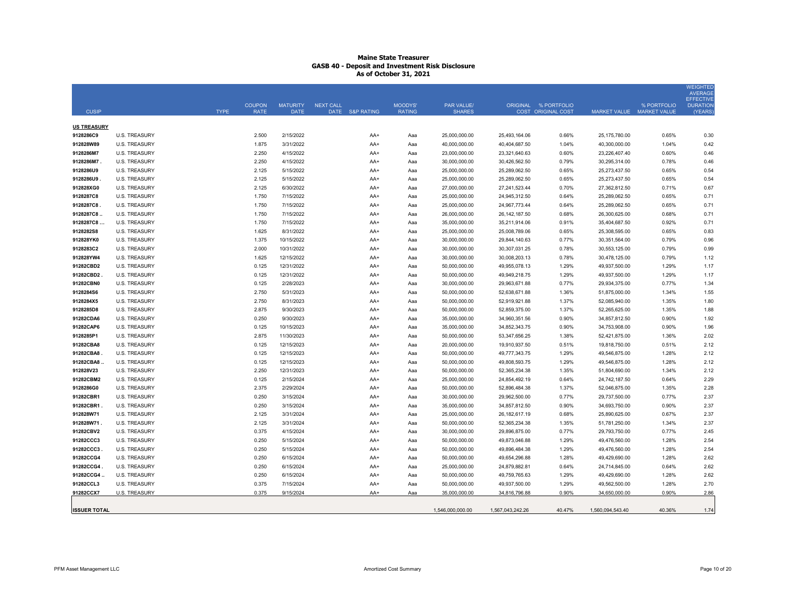|                        |                                              |                            |                         |                  |                |                                |                                |                           |                                |                     | <b>WEIGHTED</b><br><b>AVERAGE</b>   |
|------------------------|----------------------------------------------|----------------------------|-------------------------|------------------|----------------|--------------------------------|--------------------------------|---------------------------|--------------------------------|---------------------|-------------------------------------|
|                        |                                              | <b>COUPON</b>              | <b>MATURITY</b>         | <b>NEXT CALL</b> | <b>MOODYS'</b> | <b>PAR VALUE/</b>              |                                | ORIGINAL % PORTFOLIO      |                                | % PORTFOLIO         | <b>EFFECTIVE</b><br><b>DURATION</b> |
| <b>CUSIP</b>           |                                              | <b>TYPE</b><br><b>RATE</b> | <b>DATE</b>             | DATE S&P RATING  | <b>RATING</b>  | <b>SHARES</b>                  |                                | <b>COST ORIGINAL COST</b> | <b>MARKET VALUE</b>            | <b>MARKET VALUE</b> | (YEARS)                             |
| <b>US TREASURY</b>     |                                              |                            |                         |                  |                |                                |                                |                           |                                |                     |                                     |
| 9128286C9              | <b>U.S. TREASURY</b>                         | 2.500                      | 2/15/2022               | $AA+$            | Aaa            | 25,000,000.00                  | 25.493.164.06                  | 0.66%                     | 25,175,780.00                  | 0.65%               | 0.30                                |
| 912828W89              | <b>U.S. TREASURY</b>                         | 1.875                      | 3/31/2022               | $AA+$            | Aaa            | 40,000,000.00                  | 40,404,687.50                  | 1.04%                     | 40,300,000.00                  | 1.04%               | 0.42                                |
| 9128286M7              | <b>U.S. TREASURY</b>                         | 2.250                      | 4/15/2022               | AA+              | Ааа            | 23,000,000.00                  | 23,321,640.63                  | 0.60%                     | 23,226,407.40                  | 0.60%               | 0.46                                |
| 9128286M7.             | <b>U.S. TREASURY</b>                         | 2.250                      | 4/15/2022               | AA+              | Aaa            | 30,000,000.00                  | 30,426,562.50                  | 0.79%                     | 30,295,314.00                  | 0.78%               | 0.46                                |
| 9128286U9              | <b>U.S. TREASURY</b>                         | 2.125                      | 5/15/2022               | AA+              | Aaa            | 25,000,000.00                  | 25,289,062.50                  | 0.65%                     | 25,273,437.50                  | 0.65%               | 0.54                                |
| 9128286U9              | <b>U.S. TREASURY</b>                         | 2.125                      | 5/15/2022               | AA+              | Aaa            | 25,000,000.00                  | 25,289,062.50                  | 0.65%                     | 25,273,437.50                  | 0.65%               | 0.54                                |
| 912828XG0              | <b>U.S. TREASURY</b>                         | 2.125                      | 6/30/2022               | AA+              | Aaa            | 27,000,000.00                  | 27,241,523.44                  | 0.70%                     | 27,362,812.50                  | 0.71%               | 0.67                                |
| 9128287C8              | <b>U.S. TREASURY</b>                         | 1.750                      | 7/15/2022               | $AA+$            | Aaa            | 25,000,000.00                  | 24,945,312.50                  | 0.64%                     | 25,289,062.50                  | 0.65%               | 0.71                                |
| 9128287C8              | U.S. TREASURY                                | 1.750                      | 7/15/2022               | AA+              | Aaa            | 25,000,000.00                  | 24,967,773.44                  | 0.64%                     | 25,289,062.50                  | 0.65%               | 0.71                                |
| 9128287C8.             | <b>U.S. TREASURY</b>                         | 1.750                      | 7/15/2022               | AA+              | Ааа            | 26,000,000.00                  | 26, 142, 187.50                | 0.68%                     | 26,300,625.00                  | 0.68%               | 0.71                                |
| 9128287C8              | <b>U.S. TREASURY</b>                         | 1.750                      | 7/15/2022               | AA+              | Aaa            | 35,000,000.00                  | 35,211,914.06                  | 0.91%                     | 35,404,687.50                  | 0.92%               | 0.71                                |
| 9128282S8              | <b>U.S. TREASURY</b>                         | 1.625                      | 8/31/2022               | AA+              | Ааа            | 25,000,000.00                  | 25,008,789.06                  | 0.65%                     | 25,308,595.00                  | 0.65%               | 0.83                                |
| 912828YK0              | <b>U.S. TREASURY</b>                         | 1.375                      | 10/15/2022              | AA+              | Aaa            | 30,000,000.00                  | 29,844,140.63                  | 0.77%                     | 30,351,564.00                  | 0.79%               | 0.96                                |
| 9128283C2              | <b>U.S. TREASURY</b>                         | 2.000                      | 10/31/2022              | AA+              | Aaa            | 30,000,000.00                  | 30,307,031.25                  | 0.78%                     | 30,553,125.00                  | 0.79%               | 0.99                                |
| 912828YW4              | <b>U.S. TREASURY</b>                         | 1.625                      | 12/15/2022              | AA+              | Ааа            | 30,000,000.00                  | 30,008,203.13                  | 0.78%                     | 30,478,125.00                  | 0.79%               | 1.12                                |
| 91282CBD2              | <b>U.S. TREASURY</b>                         | 0.125                      | 12/31/2022              | AA+              | Ааа            | 50,000,000.00                  | 49,955,078.13                  | 1.29%                     | 49,937,500.00                  | 1.29%               | 1.17                                |
| 91282CBD2              | <b>U.S. TREASURY</b>                         | 0.125                      | 12/31/2022              | AA+              | Ааа            | 50,000,000.00                  | 49,949,218.75                  | 1.29%                     | 49,937,500.00                  | 1.29%               | 1.17                                |
| 91282CBN0              | <b>U.S. TREASURY</b>                         | 0.125                      | 2/28/2023               | AA+              | Ааа            | 30,000,000.00                  | 29,963,671.88                  | 0.77%                     | 29,934,375.00                  | 0.77%               | 1.34                                |
| 9128284S6              | <b>U.S. TREASURY</b>                         | 2.750                      | 5/31/2023               | AA+              | Ааа            | 50,000,000.00                  | 52,638,671.88                  | 1.36%                     | 51,875,000.00                  | 1.34%               | 1.55                                |
| 9128284X5              | U.S. TREASURY                                | 2.750                      | 8/31/2023               | AA+              | Ааа            | 50,000,000.00                  | 52,919,921.88                  | 1.37%                     | 52,085,940.00                  | 1.35%               | 1.80                                |
| 9128285D8              | <b>U.S. TREASURY</b>                         | 2.875<br>0.250             | 9/30/2023               | AA+              | Aaa            | 50,000,000.00                  | 52,859,375.00                  | 1.37%                     | 52,265,625.00                  | 1.35%               | 1.88                                |
| 91282CDA6<br>91282CAP6 | <b>U.S. TREASURY</b><br><b>U.S. TREASURY</b> | 0.125                      | 9/30/2023<br>10/15/2023 | AA+<br>$AA+$     | Aaa<br>Aaa     | 35,000,000.00<br>35,000,000.00 | 34,960,351.56<br>34,852,343.75 | 0.90%<br>0.90%            | 34,857,812.50<br>34,753,908.00 | 0.90%<br>0.90%      | 1.92<br>1.96                        |
| 9128285P1              | <b>U.S. TREASURY</b>                         | 2.875                      | 11/30/2023              | $AA+$            | Aaa            | 50,000,000.00                  | 53,347,656.25                  | 1.38%                     | 52,421,875.00                  | 1.36%               | 2.02                                |
| 91282CBA8              | <b>U.S. TREASURY</b>                         | 0.125                      | 12/15/2023              | $AA+$            | Aaa            | 20,000,000.00                  | 19,910,937.50                  | 0.51%                     | 19,818,750.00                  | 0.51%               | 2.12                                |
| 91282CBA8.             | <b>U.S. TREASURY</b>                         | 0.125                      | 12/15/2023              | AA+              | Ааа            | 50,000,000.00                  | 49,777,343.75                  | 1.29%                     | 49,546,875.00                  | 1.28%               | 2.12                                |
| 91282CBA8              | <b>U.S. TREASURY</b>                         | 0.125                      | 12/15/2023              | $AA+$            | Aaa            | 50,000,000.00                  | 49,808,593.75                  | 1.29%                     | 49,546,875.00                  | 1.28%               | 2.12                                |
| 912828V23              | <b>U.S. TREASURY</b>                         | 2.250                      | 12/31/2023              | $AA+$            | Aaa            | 50,000,000.00                  | 52, 365, 234. 38               | 1.35%                     | 51,804,690.00                  | 1.34%               | 2.12                                |
| 91282CBM2              | <b>U.S. TREASURY</b>                         | 0.125                      | 2/15/2024               | AA+              | Aaa            | 25,000,000.00                  | 24,854,492.19                  | 0.64%                     | 24,742,187.50                  | 0.64%               | 2.29                                |
| 9128286G0              | <b>U.S. TREASURY</b>                         | 2.375                      | 2/29/2024               | $AA+$            | Aaa            | 50,000,000.00                  | 52,896,484.38                  | 1.37%                     | 52,046,875.00                  | 1.35%               | 2.28                                |
| 91282CBR1              | <b>U.S. TREASURY</b>                         | 0.250                      | 3/15/2024               | $AA+$            | Aaa            | 30,000,000.00                  | 29,962,500.00                  | 0.77%                     | 29,737,500.00                  | 0.77%               | 2.37                                |
| 91282CBR1              | <b>U.S. TREASURY</b>                         | 0.250                      | 3/15/2024               | AA+              | Aaa            | 35,000,000.00                  | 34,857,812.50                  | 0.90%                     | 34,693,750.00                  | 0.90%               | 2.37                                |
| 912828W71              | <b>U.S. TREASURY</b>                         | 2.125                      | 3/31/2024               | AA+              | Ааа            | 25,000,000.00                  | 26, 182, 617. 19               | 0.68%                     | 25,890,625.00                  | 0.67%               | 2.37                                |
| 912828W71              | <b>U.S. TREASURY</b>                         | 2.125                      | 3/31/2024               | AA+              | Ааа            | 50,000,000.00                  | 52, 365, 234. 38               | 1.35%                     | 51,781,250.00                  | 1.34%               | 2.37                                |
| 91282CBV2              | <b>U.S. TREASURY</b>                         | 0.375                      | 4/15/2024               | AA+              | Ааа            | 30,000,000.00                  | 29,896,875.00                  | 0.77%                     | 29,793,750.00                  | 0.77%               | 2.45                                |
| 91282CCC3              | <b>U.S. TREASURY</b>                         | 0.250                      | 5/15/2024               | AA+              | Aaa            | 50,000,000.00                  | 49,873,046.88                  | 1.29%                     | 49,476,560.00                  | 1.28%               | 2.54                                |
| 91282CCC3              | <b>U.S. TREASURY</b>                         | 0.250                      | 5/15/2024               | AA+              | Aaa            | 50,000,000.00                  | 49,896,484.38                  | 1.29%                     | 49,476,560.00                  | 1.28%               | 2.54                                |
| 91282CCG4              | <b>U.S. TREASURY</b>                         | 0.250                      | 6/15/2024               | AA+              | Ааа            | 50,000,000.00                  | 49,654,296.88                  | 1.28%                     | 49,429,690.00                  | 1.28%               | 2.62                                |
| 91282CCG4              | <b>U.S. TREASURY</b>                         | 0.250                      | 6/15/2024               | AA+              | Ааа            | 25,000,000.00                  | 24,879,882.81                  | 0.64%                     | 24,714,845.00                  | 0.64%               | 2.62                                |
| 91282CCG4.             | <b>U.S. TREASURY</b>                         | 0.250                      | 6/15/2024               | AA+              | Aaa            | 50,000,000.00                  | 49,759,765.63                  | 1.29%                     | 49,429,690.00                  | 1.28%               | 2.62                                |
| 91282CCL3              | <b>U.S. TREASURY</b>                         | 0.375                      | 7/15/2024               | AA+              | Ааа            | 50,000,000.00                  | 49,937,500.00                  | 1.29%                     | 49,562,500.00                  | 1.28%               | 2.70                                |
| 91282CCX7              | <b>U.S. TREASURY</b>                         | 0.375                      | 9/15/2024               | AA+              | Aaa            | 35,000,000.00                  | 34,816,796.88                  | 0.90%                     | 34,650,000.00                  | 0.90%               | 2.86                                |
|                        |                                              |                            |                         |                  |                |                                |                                |                           |                                |                     |                                     |
| <b>ISSUER TOTAL</b>    |                                              |                            |                         |                  |                | 1,546,000,000.00               | 1,567,043,242.26               | 40.47%                    | 1,560,094,543.40               | 40.36%              | 1.74                                |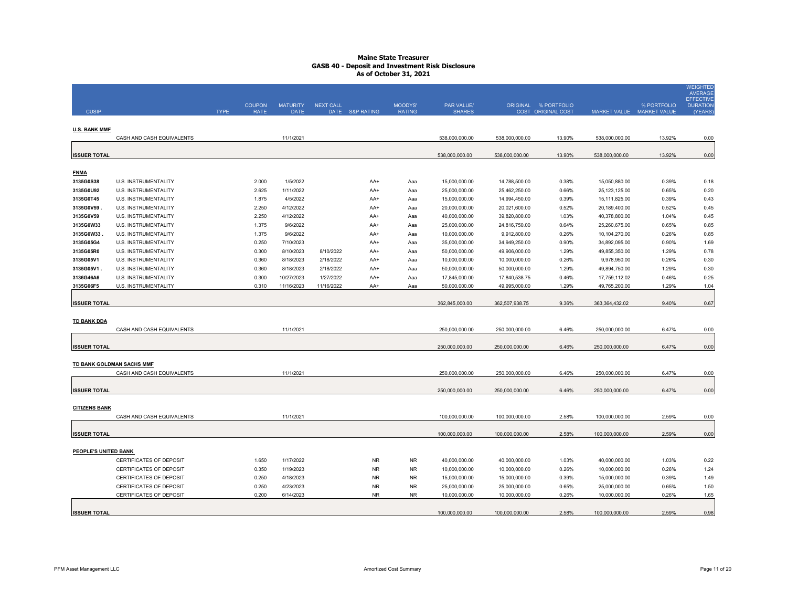|                      |                                |             |               |                 |                  |                 |               |                |                |                      |                           |             | <b>WEIGHTED</b><br><b>AVERAGE</b>   |
|----------------------|--------------------------------|-------------|---------------|-----------------|------------------|-----------------|---------------|----------------|----------------|----------------------|---------------------------|-------------|-------------------------------------|
|                      |                                |             | <b>COUPON</b> | <b>MATURITY</b> | <b>NEXT CALL</b> |                 | MOODYS'       | PAR VALUE/     |                | ORIGINAL % PORTFOLIO |                           | % PORTFOLIO | <b>EFFECTIVE</b><br><b>DURATION</b> |
| <b>CUSIP</b>         |                                | <b>TYPE</b> | <b>RATE</b>   | <b>DATE</b>     |                  | DATE S&P RATING | <b>RATING</b> | <b>SHARES</b>  |                | COST ORIGINAL COST   | MARKET VALUE MARKET VALUE |             | (YEARS)                             |
|                      |                                |             |               |                 |                  |                 |               |                |                |                      |                           |             |                                     |
| <b>U.S. BANK MMF</b> | CASH AND CASH EQUIVALENTS      |             |               | 11/1/2021       |                  |                 |               | 538.000.000.00 | 538,000,000.00 | 13.90%               | 538,000,000.00            | 13.92%      | 0.00                                |
|                      |                                |             |               |                 |                  |                 |               |                |                |                      |                           |             |                                     |
| <b>ISSUER TOTAL</b>  |                                |             |               |                 |                  |                 |               | 538.000.000.00 | 538,000,000.00 | 13.90%               | 538,000,000.00            | 13.92%      | 0.00                                |
|                      |                                |             |               |                 |                  |                 |               |                |                |                      |                           |             |                                     |
| <b>FNMA</b>          |                                |             |               |                 |                  |                 |               |                |                |                      |                           |             |                                     |
| 3135G0S38            | U.S. INSTRUMENTALITY           |             | 2.000         | 1/5/2022        |                  | AA+             | Aaa           | 15,000,000.00  | 14,788,500.00  | 0.38%                | 15,050,880.00             | 0.39%       | 0.18                                |
| 3135G0U92            | U.S. INSTRUMENTALITY           |             | 2.625         | 1/11/2022       |                  | AA+             | Aaa           | 25,000,000.00  | 25,462,250.00  | 0.66%                | 25, 123, 125.00           | 0.65%       | 0.20                                |
| 3135G0T45            | U.S. INSTRUMENTALITY           |             | 1.875         | 4/5/2022        |                  | AA+             | Aaa           | 15,000,000.00  | 14,994,450.00  | 0.39%                | 15,111,825.00             | 0.39%       | 0.43                                |
| 3135G0V59            | U.S. INSTRUMENTALITY           |             | 2.250         | 4/12/2022       |                  | AA+             | Aaa           | 20,000,000.00  | 20,021,600.00  | 0.52%                | 20,189,400.00             | 0.52%       | 0.45                                |
| 3135G0V59            | U.S. INSTRUMENTALITY           |             | 2.250         | 4/12/2022       |                  | AA+             | Aaa           | 40,000,000.00  | 39,820,800.00  | 1.03%                | 40,378,800.00             | 1.04%       | 0.45                                |
| 3135G0W33            | U.S. INSTRUMENTALITY           |             | 1.375         | 9/6/2022        |                  | AA+             | Aaa           | 25,000,000.00  | 24,816,750.00  | 0.64%                | 25,260,675.00             | 0.65%       | 0.85                                |
| 3135G0W33            | U.S. INSTRUMENTALITY           |             | 1.375         | 9/6/2022        |                  | AA+             | Aaa           | 10,000,000.00  | 9,912,800.00   | 0.26%                | 10,104,270.00             | 0.26%       | 0.85                                |
| 3135G05G4            | U.S. INSTRUMENTALITY           |             | 0.250         | 7/10/2023       |                  | AA+             | Aaa           | 35,000,000.00  | 34,949,250.00  | 0.90%                | 34,892,095.00             | 0.90%       | 1.69                                |
| 3135G05R0            | U.S. INSTRUMENTALITY           |             | 0.300         | 8/10/2023       | 8/10/2022        | AA+             | Aaa           | 50,000,000.00  | 49,906,000.00  | 1.29%                | 49,855,350.00             | 1.29%       | 0.78                                |
| 3135G05V1            | U.S. INSTRUMENTALITY           |             | 0.360         | 8/18/2023       | 2/18/2022        | AA+             | Aaa           | 10,000,000.00  | 10,000,000.00  | 0.26%                | 9,978,950.00              | 0.26%       | 0.30                                |
| 3135G05V1            | U.S. INSTRUMENTALITY           |             | 0.360         | 8/18/2023       | 2/18/2022        | AA+             | Aaa           | 50,000,000.00  | 50,000,000.00  | 1.29%                | 49,894,750.00             | 1.29%       | 0.30                                |
| 3136G46A6            | U.S. INSTRUMENTALITY           |             | 0.300         | 10/27/2023      | 1/27/2022        | AA+             | Aaa           | 17,845,000.00  | 17,840,538.75  | 0.46%                | 17,759,112.02             | 0.46%       | 0.25                                |
| 3135G06F5            | <b>U.S. INSTRUMENTALITY</b>    |             | 0.310         | 11/16/2023      | 11/16/2022       | AA+             | Aaa           | 50,000,000.00  | 49,995,000.00  | 1.29%                | 49,765,200.00             | 1.29%       | 1.04                                |
|                      |                                |             |               |                 |                  |                 |               |                |                |                      |                           |             |                                     |
| <b>ISSUER TOTAL</b>  |                                |             |               |                 |                  |                 |               | 362,845,000.00 | 362,507,938.75 | 9.36%                | 363, 364, 432.02          | 9.40%       | 0.67                                |
|                      |                                |             |               |                 |                  |                 |               |                |                |                      |                           |             |                                     |
| <b>TD BANK DDA</b>   |                                |             |               |                 |                  |                 |               |                |                |                      |                           |             |                                     |
|                      | CASH AND CASH EQUIVALENTS      |             |               | 11/1/2021       |                  |                 |               | 250,000,000.00 | 250,000,000.00 | 6.46%                | 250,000,000.00            | 6.47%       | 0.00                                |
|                      |                                |             |               |                 |                  |                 |               |                |                |                      |                           |             |                                     |
| <b>ISSUER TOTAL</b>  |                                |             |               |                 |                  |                 |               | 250,000,000.00 | 250,000,000.00 | 6.46%                | 250,000,000.00            | 6.47%       | 0.00                                |
|                      |                                |             |               |                 |                  |                 |               |                |                |                      |                           |             |                                     |
|                      | TD BANK GOLDMAN SACHS MMF      |             |               |                 |                  |                 |               |                |                |                      |                           |             |                                     |
|                      | CASH AND CASH EQUIVALENTS      |             |               | 11/1/2021       |                  |                 |               | 250,000,000.00 | 250,000,000.00 | 6.46%                | 250,000,000.00            | 6.47%       | 0.00                                |
|                      |                                |             |               |                 |                  |                 |               |                |                |                      |                           |             |                                     |
| <b>ISSUER TOTAL</b>  |                                |             |               |                 |                  |                 |               | 250,000,000.00 | 250,000,000.00 | 6.46%                | 250,000,000.00            | 6.47%       | 0.00                                |
|                      |                                |             |               |                 |                  |                 |               |                |                |                      |                           |             |                                     |
| <b>CITIZENS BANK</b> |                                |             |               |                 |                  |                 |               |                |                |                      |                           |             |                                     |
|                      | CASH AND CASH EQUIVALENTS      |             |               | 11/1/2021       |                  |                 |               | 100,000,000.00 | 100,000,000.00 | 2.58%                | 100,000,000.00            | 2.59%       | 0.00                                |
|                      |                                |             |               |                 |                  |                 |               |                |                |                      |                           |             |                                     |
| <b>ISSUER TOTAL</b>  |                                |             |               |                 |                  |                 |               | 100,000,000.00 | 100,000,000.00 | 2.58%                | 100,000,000.00            | 2.59%       | 0.00                                |
| PEOPLE'S UNITED BANK |                                |             |               |                 |                  |                 |               |                |                |                      |                           |             |                                     |
|                      | CERTIFICATES OF DEPOSIT        |             | 1.650         | 1/17/2022       |                  | <b>NR</b>       | <b>NR</b>     | 40,000,000.00  | 40,000,000.00  | 1.03%                | 40,000,000.00             | 1.03%       |                                     |
|                      | <b>CERTIFICATES OF DEPOSIT</b> |             | 0.350         | 1/19/2023       |                  | <b>NR</b>       | <b>NR</b>     | 10,000,000.00  | 10,000,000.00  | 0.26%                | 10,000,000.00             | 0.26%       | 0.22<br>1.24                        |
|                      | CERTIFICATES OF DEPOSIT        |             | 0.250         | 4/18/2023       |                  | <b>NR</b>       | <b>NR</b>     | 15,000,000.00  | 15,000,000.00  | 0.39%                | 15,000,000.00             | 0.39%       | 1.49                                |
|                      | <b>CERTIFICATES OF DEPOSIT</b> |             | 0.250         | 4/23/2023       |                  | <b>NR</b>       | <b>NR</b>     | 25,000,000.00  | 25,000,000.00  | 0.65%                | 25,000,000.00             | 0.65%       | 1.50                                |
|                      | CERTIFICATES OF DEPOSIT        |             | 0.200         | 6/14/2023       |                  | <b>NR</b>       | <b>NR</b>     | 10,000,000.00  | 10,000,000.00  | 0.26%                | 10,000,000.00             | 0.26%       | 1.65                                |
|                      |                                |             |               |                 |                  |                 |               |                |                |                      |                           |             |                                     |
| <b>ISSUER TOTAL</b>  |                                |             |               |                 |                  |                 |               | 100,000,000.00 | 100,000,000.00 | 2.58%                | 100,000,000.00            | 2.59%       | 0.98                                |
|                      |                                |             |               |                 |                  |                 |               |                |                |                      |                           |             |                                     |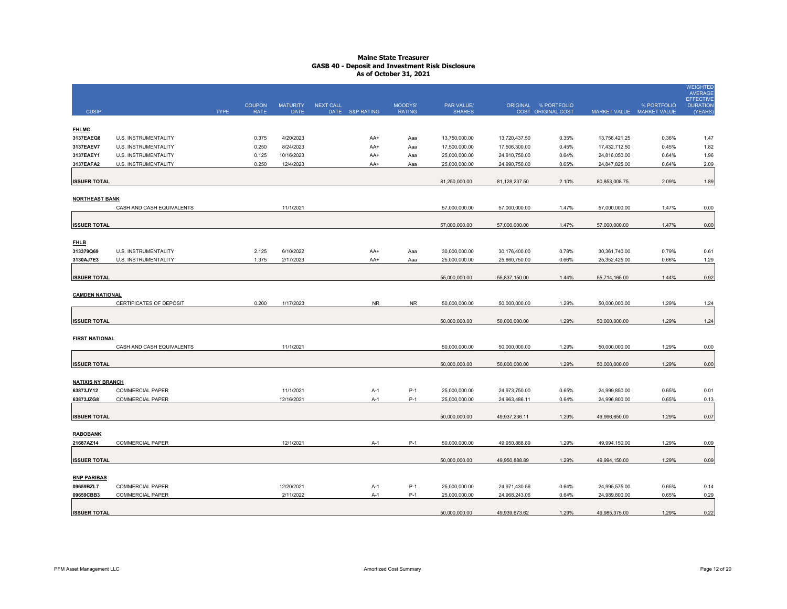|                          |                           |             |               |                 |                  |                 |               |               |               |                      |                           |             | <b>WEIGHTED</b><br><b>AVERAGE</b>   |
|--------------------------|---------------------------|-------------|---------------|-----------------|------------------|-----------------|---------------|---------------|---------------|----------------------|---------------------------|-------------|-------------------------------------|
|                          |                           |             | <b>COUPON</b> | <b>MATURITY</b> | <b>NEXT CALL</b> |                 | MOODYS'       | PAR VALUE/    |               | ORIGINAL % PORTFOLIO |                           | % PORTFOLIO | <b>EFFECTIVE</b><br><b>DURATION</b> |
| <b>CUSIP</b>             |                           | <b>TYPE</b> | <b>RATE</b>   | <b>DATE</b>     |                  | DATE S&P RATING | <b>RATING</b> | <b>SHARES</b> |               | COST ORIGINAL COST   | MARKET VALUE MARKET VALUE |             | (YEARS)                             |
| <b>FHLMC</b>             |                           |             |               |                 |                  |                 |               |               |               |                      |                           |             |                                     |
| 3137EAEQ8                | U.S. INSTRUMENTALITY      |             | 0.375         | 4/20/2023       |                  | AA+             | Aaa           | 13,750,000.00 | 13,720,437.50 | 0.35%                | 13,756,421.25             | 0.36%       | 1.47                                |
| 3137EAEV7                | U.S. INSTRUMENTALITY      |             | 0.250         | 8/24/2023       |                  | AA+             | Aaa           | 17,500,000.00 | 17,506,300.00 | 0.45%                | 17,432,712.50             | 0.45%       | 1.82                                |
| 3137EAEY1                | U.S. INSTRUMENTALITY      |             | 0.125         | 10/16/2023      |                  | AA+             | Aaa           | 25,000,000.00 | 24,910,750.00 | 0.64%                | 24,816,050.00             | 0.64%       | 1.96                                |
| 3137EAFA2                | U.S. INSTRUMENTALITY      |             | 0.250         | 12/4/2023       |                  | AA+             | Aaa           | 25,000,000.00 | 24,990,750.00 | 0.65%                | 24,847,825.00             | 0.64%       | 2.09                                |
| <b>ISSUER TOTAL</b>      |                           |             |               |                 |                  |                 |               | 81,250,000.00 | 81,128,237.50 | 2.10%                | 80,853,008.75             | 2.09%       | 1.89                                |
|                          |                           |             |               |                 |                  |                 |               |               |               |                      |                           |             |                                     |
| <b>NORTHEAST BANK</b>    | CASH AND CASH EQUIVALENTS |             |               | 11/1/2021       |                  |                 |               | 57,000,000.00 | 57,000,000.00 | 1.47%                | 57,000,000.00             | 1.47%       | 0.00                                |
|                          |                           |             |               |                 |                  |                 |               |               |               |                      |                           |             |                                     |
| <b>ISSUER TOTAL</b>      |                           |             |               |                 |                  |                 |               | 57,000,000.00 | 57,000,000.00 | 1.47%                | 57,000,000.00             | 1.47%       | 0.00                                |
| <b>FHLB</b>              |                           |             |               |                 |                  |                 |               |               |               |                      |                           |             |                                     |
| 313379Q69                | U.S. INSTRUMENTALITY      |             | 2.125         | 6/10/2022       |                  | AA+             | Aaa           | 30,000,000.00 | 30,176,400.00 | 0.78%                | 30,361,740.00             | 0.79%       | 0.61                                |
| 3130AJ7E3                | U.S. INSTRUMENTALITY      |             | 1.375         | 2/17/2023       |                  | AA+             | Aaa           | 25,000,000.00 | 25,660,750.00 | 0.66%                | 25,352,425.00             | 0.66%       | 1.29                                |
|                          |                           |             |               |                 |                  |                 |               |               |               |                      |                           |             |                                     |
| <b>ISSUER TOTAL</b>      |                           |             |               |                 |                  |                 |               | 55,000,000.00 | 55,837,150.00 | 1.44%                | 55,714,165.00             | 1.44%       | 0.92                                |
| <b>CAMDEN NATIONAL</b>   |                           |             |               |                 |                  |                 |               |               |               |                      |                           |             |                                     |
|                          | CERTIFICATES OF DEPOSIT   |             | 0.200         | 1/17/2023       |                  | <b>NR</b>       | <b>NR</b>     | 50,000,000.00 | 50,000,000.00 | 1.29%                | 50,000,000.00             | 1.29%       | 1.24                                |
| <b>ISSUER TOTAL</b>      |                           |             |               |                 |                  |                 |               | 50,000,000.00 | 50,000,000.00 | 1.29%                | 50,000,000.00             | 1.29%       |                                     |
|                          |                           |             |               |                 |                  |                 |               |               |               |                      |                           |             | 1.24                                |
| <b>FIRST NATIONAL</b>    |                           |             |               |                 |                  |                 |               |               |               |                      |                           |             |                                     |
|                          | CASH AND CASH EQUIVALENTS |             |               | 11/1/2021       |                  |                 |               | 50,000,000.00 | 50,000,000.00 | 1.29%                | 50,000,000.00             | 1.29%       | 0.00                                |
| <b>ISSUER TOTAL</b>      |                           |             |               |                 |                  |                 |               | 50,000,000.00 | 50,000,000.00 | 1.29%                | 50,000,000.00             | 1.29%       | 0.00                                |
|                          |                           |             |               |                 |                  |                 |               |               |               |                      |                           |             |                                     |
| <b>NATIXIS NY BRANCH</b> |                           |             |               |                 |                  |                 |               |               |               |                      |                           |             |                                     |
| 63873JY12                | <b>COMMERCIAL PAPER</b>   |             |               | 11/1/2021       |                  | $A-1$           | $P-1$         | 25,000,000.00 | 24,973,750.00 | 0.65%                | 24,999,850.00             | 0.65%       | 0.01                                |
| 63873JZG8                | COMMERCIAL PAPER          |             |               | 12/16/2021      |                  | $A-1$           | $P-1$         | 25,000,000.00 | 24,963,486.11 | 0.64%                | 24,996,800.00             | 0.65%       | 0.13                                |
| <b>ISSUER TOTAL</b>      |                           |             |               |                 |                  |                 |               | 50,000,000.00 | 49,937,236.11 | 1.29%                | 49,996,650.00             | 1.29%       | 0.07                                |
|                          |                           |             |               |                 |                  |                 |               |               |               |                      |                           |             |                                     |
| <b>RABOBANK</b>          | COMMERCIAL PAPER          |             |               | 12/1/2021       |                  |                 | $P-1$         | 50,000,000.00 | 49,950,888.89 | 1.29%                | 49,994,150.00             | 1.29%       | 0.09                                |
| 21687AZ14                |                           |             |               |                 |                  | $A-1$           |               |               |               |                      |                           |             |                                     |
| <b>ISSUER TOTAL</b>      |                           |             |               |                 |                  |                 |               | 50,000,000.00 | 49,950,888.89 | 1.29%                | 49,994,150.00             | 1.29%       | 0.09                                |
| <b>BNP PARIBAS</b>       |                           |             |               |                 |                  |                 |               |               |               |                      |                           |             |                                     |
| 09659BZL7                | <b>COMMERCIAL PAPER</b>   |             |               | 12/20/2021      |                  | $A-1$           | $P-1$         | 25,000,000.00 | 24,971,430.56 | 0.64%                | 24,995,575.00             | 0.65%       | 0.14                                |
| 09659CBB3                | COMMERCIAL PAPER          |             |               | 2/11/2022       |                  | $A-1$           | $P-1$         | 25,000,000.00 | 24,968,243.06 | 0.64%                | 24,989,800.00             | 0.65%       | 0.29                                |
|                          |                           |             |               |                 |                  |                 |               |               |               |                      |                           |             |                                     |
| <b>ISSUER TOTAL</b>      |                           |             |               |                 |                  |                 |               | 50,000,000.00 | 49,939,673.62 | 1.29%                | 49,985,375.00             | 1.29%       | 0.22                                |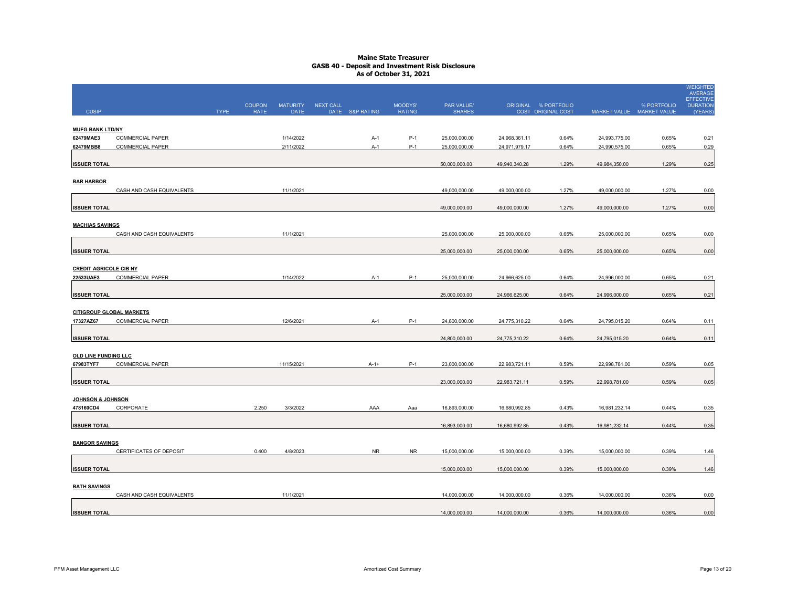|                               |                                 |             |                              |                                |           |                 |                          |                             |               |                                                   |               |                                          | <b>WEIGHTED</b><br><b>AVERAGE</b><br>EFFECTIVE |
|-------------------------------|---------------------------------|-------------|------------------------------|--------------------------------|-----------|-----------------|--------------------------|-----------------------------|---------------|---------------------------------------------------|---------------|------------------------------------------|------------------------------------------------|
| <b>CUSIP</b>                  |                                 | <b>TYPE</b> | <b>COUPON</b><br><b>RATE</b> | <b>MATURITY</b><br><b>DATE</b> | NEXT CALL | DATE S&P RATING | MOODYS'<br><b>RATING</b> | PAR VALUE/<br><b>SHARES</b> |               | ORIGINAL % PORTFOLIO<br><b>COST ORIGINAL COST</b> |               | % PORTFOLIO<br>MARKET VALUE MARKET VALUE | <b>DURATION</b><br>(YEARS)                     |
|                               |                                 |             |                              |                                |           |                 |                          |                             |               |                                                   |               |                                          |                                                |
| <b>MUFG BANK LTD/NY</b>       |                                 |             |                              |                                |           |                 |                          |                             |               |                                                   |               |                                          |                                                |
| 62479MAE3                     | <b>COMMERCIAL PAPER</b>         |             |                              | 1/14/2022                      |           | A-1             | P-1                      | 25,000,000.00               | 24,968,361.11 | 0.64%                                             | 24,993,775.00 | 0.65%                                    | 0.21                                           |
| 62479MBB8                     | <b>COMMERCIAL PAPER</b>         |             |                              | 2/11/2022                      |           | $A-1$           | $P-1$                    | 25,000,000.00               | 24,971,979.17 | 0.64%                                             | 24,990,575.00 | 0.65%                                    | 0.29                                           |
|                               |                                 |             |                              |                                |           |                 |                          |                             |               | 1.29%                                             |               | 1.29%                                    | 0.25                                           |
| <b>ISSUER TOTAL</b>           |                                 |             |                              |                                |           |                 |                          | 50,000,000.00               | 49,940,340.28 |                                                   | 49,984,350.00 |                                          |                                                |
| <b>BAR HARBOR</b>             |                                 |             |                              |                                |           |                 |                          |                             |               |                                                   |               |                                          |                                                |
|                               | CASH AND CASH EQUIVALENTS       |             |                              | 11/1/2021                      |           |                 |                          | 49,000,000.00               | 49,000,000.00 | 1.27%                                             | 49,000,000.00 | 1.27%                                    | 0.00                                           |
|                               |                                 |             |                              |                                |           |                 |                          |                             |               |                                                   |               |                                          |                                                |
| <b>ISSUER TOTAL</b>           |                                 |             |                              |                                |           |                 |                          | 49,000,000.00               | 49,000,000.00 | 1.27%                                             | 49,000,000.00 | 1.27%                                    | 0.00                                           |
|                               |                                 |             |                              |                                |           |                 |                          |                             |               |                                                   |               |                                          |                                                |
| <b>MACHIAS SAVINGS</b>        | CASH AND CASH EQUIVALENTS       |             |                              | 11/1/2021                      |           |                 |                          | 25,000,000.00               | 25,000,000.00 | 0.65%                                             | 25,000,000.00 | 0.65%                                    | 0.00                                           |
|                               |                                 |             |                              |                                |           |                 |                          |                             |               |                                                   |               |                                          |                                                |
| <b>ISSUER TOTAL</b>           |                                 |             |                              |                                |           |                 |                          | 25,000,000.00               | 25,000,000.00 | 0.65%                                             | 25,000,000.00 | 0.65%                                    | 0.00                                           |
|                               |                                 |             |                              |                                |           |                 |                          |                             |               |                                                   |               |                                          |                                                |
| <b>CREDIT AGRICOLE CIB NY</b> |                                 |             |                              |                                |           |                 |                          |                             |               |                                                   |               |                                          |                                                |
| 22533UAE3                     | <b>COMMERCIAL PAPER</b>         |             |                              | 1/14/2022                      |           | $A-1$           | $P-1$                    | 25,000,000.00               | 24,966,625.00 | 0.64%                                             | 24,996,000.00 | 0.65%                                    | 0.21                                           |
| <b>ISSUER TOTAL</b>           |                                 |             |                              |                                |           |                 |                          | 25,000,000.00               | 24,966,625.00 | 0.64%                                             | 24,996,000.00 | 0.65%                                    | 0.21                                           |
|                               |                                 |             |                              |                                |           |                 |                          |                             |               |                                                   |               |                                          |                                                |
|                               | <b>CITIGROUP GLOBAL MARKETS</b> |             |                              |                                |           |                 |                          |                             |               |                                                   |               |                                          |                                                |
| 17327AZ67                     | <b>COMMERCIAL PAPER</b>         |             |                              | 12/6/2021                      |           | A-1             | $P-1$                    | 24,800,000.00               | 24,775,310.22 | 0.64%                                             | 24,795,015.20 | 0.64%                                    | 0.11                                           |
|                               |                                 |             |                              |                                |           |                 |                          |                             |               | 0.64%                                             | 24,795,015.20 | 0.64%                                    |                                                |
| <b>ISSUER TOTAL</b>           |                                 |             |                              |                                |           |                 |                          | 24,800,000.00               | 24,775,310.22 |                                                   |               |                                          | 0.11                                           |
| <b>OLD LINE FUNDING LLC</b>   |                                 |             |                              |                                |           |                 |                          |                             |               |                                                   |               |                                          |                                                |
| 67983TYF7                     | <b>COMMERCIAL PAPER</b>         |             |                              | 11/15/2021                     |           | $A-1+$          | $P-1$                    | 23,000,000.00               | 22,983,721.11 | 0.59%                                             | 22,998,781.00 | 0.59%                                    | 0.05                                           |
|                               |                                 |             |                              |                                |           |                 |                          |                             |               |                                                   |               |                                          |                                                |
| <b>ISSUER TOTAL</b>           |                                 |             |                              |                                |           |                 |                          | 23,000,000.00               | 22,983,721.11 | 0.59%                                             | 22,998,781.00 | 0.59%                                    | 0.05                                           |
| JOHNSON & JOHNSON             |                                 |             |                              |                                |           |                 |                          |                             |               |                                                   |               |                                          |                                                |
| 478160CD4                     | CORPORATE                       |             | 2.250                        | 3/3/2022                       |           | AAA             | Aaa                      | 16,893,000.00               | 16,680,992.85 | 0.43%                                             | 16,981,232.14 | 0.44%                                    | 0.35                                           |
|                               |                                 |             |                              |                                |           |                 |                          |                             |               |                                                   |               |                                          |                                                |
| <b>ISSUER TOTAL</b>           |                                 |             |                              |                                |           |                 |                          | 16,893,000.00               | 16,680,992.85 | 0.43%                                             | 16,981,232.14 | 0.44%                                    | 0.35                                           |
|                               |                                 |             |                              |                                |           |                 |                          |                             |               |                                                   |               |                                          |                                                |
| <b>BANGOR SAVINGS</b>         |                                 |             |                              |                                |           |                 |                          |                             |               |                                                   |               |                                          |                                                |
|                               | CERTIFICATES OF DEPOSIT         |             | 0.400                        | 4/8/2023                       |           | <b>NR</b>       | NR                       | 15,000,000.00               | 15,000,000.00 | 0.39%                                             | 15,000,000.00 | 0.39%                                    | 1.46                                           |
| <b>ISSUER TOTAL</b>           |                                 |             |                              |                                |           |                 |                          | 15,000,000.00               | 15,000,000.00 | 0.39%                                             | 15,000,000.00 | 0.39%                                    | 1.46                                           |
|                               |                                 |             |                              |                                |           |                 |                          |                             |               |                                                   |               |                                          |                                                |
| <b>BATH SAVINGS</b>           |                                 |             |                              |                                |           |                 |                          |                             |               |                                                   |               |                                          |                                                |
|                               | CASH AND CASH EQUIVALENTS       |             |                              | 11/1/2021                      |           |                 |                          | 14,000,000.00               | 14,000,000.00 | 0.36%                                             | 14,000,000.00 | 0.36%                                    | 0.00                                           |
|                               |                                 |             |                              |                                |           |                 |                          |                             |               |                                                   |               |                                          |                                                |
| <b>ISSUER TOTAL</b>           |                                 |             |                              |                                |           |                 |                          | 14,000,000.00               | 14,000,000.00 | 0.36%                                             | 14,000,000.00 | 0.36%                                    | 0.00                                           |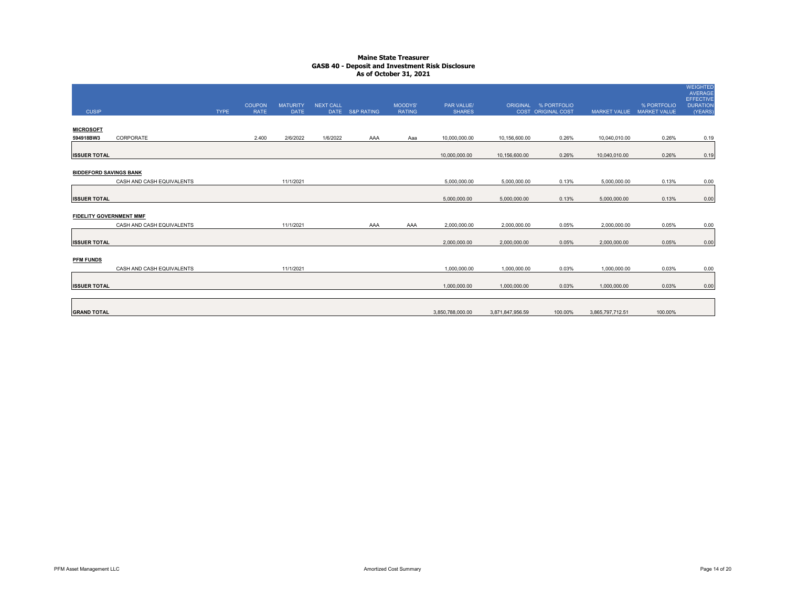| <b>CUSIP</b>                   |                           | <b>TYPE</b> | <b>COUPON</b><br><b>RATE</b> | <b>MATURITY</b><br><b>DATE</b> | <b>NEXT CALL</b> | DATE S&P RATING | MOODYS'<br><b>RATING</b> | PAR VALUE/<br><b>SHARES</b> |                  | ORIGINAL % PORTFOLIO<br><b>COST ORIGINAL COST</b> | <b>MARKET VALUE</b> | % PORTFOLIO<br><b>MARKET VALUE</b> | <b>WEIGHTED</b><br>AVERAGE<br>EFFECTIVE<br><b>DURATION</b><br>(YEARS) |
|--------------------------------|---------------------------|-------------|------------------------------|--------------------------------|------------------|-----------------|--------------------------|-----------------------------|------------------|---------------------------------------------------|---------------------|------------------------------------|-----------------------------------------------------------------------|
| <b>MICROSOFT</b><br>594918BW3  | CORPORATE                 |             | 2.400                        | 2/6/2022                       | 1/6/2022         | AAA             | Aaa                      | 10,000,000.00               | 10,156,600.00    | 0.26%                                             | 10,040,010.00       | 0.26%                              | 0.19                                                                  |
| <b>ISSUER TOTAL</b>            |                           |             |                              |                                |                  |                 |                          | 10,000,000.00               | 10,156,600.00    | 0.26%                                             | 10,040,010.00       | 0.26%                              | 0.19                                                                  |
| <b>BIDDEFORD SAVINGS BANK</b>  | CASH AND CASH EQUIVALENTS |             |                              | 11/1/2021                      |                  |                 |                          | 5,000,000.00                | 5,000,000.00     | 0.13%                                             | 5,000,000.00        | 0.13%                              | 0.00                                                                  |
| <b>ISSUER TOTAL</b>            |                           |             |                              |                                |                  |                 |                          | 5,000,000.00                | 5,000,000.00     | 0.13%                                             | 5,000,000.00        | 0.13%                              | 0.00                                                                  |
| <b>FIDELITY GOVERNMENT MMF</b> | CASH AND CASH EQUIVALENTS |             |                              | 11/1/2021                      |                  | AAA             | AAA                      | 2,000,000.00                | 2,000,000.00     | 0.05%                                             | 2,000,000.00        | 0.05%                              | 0.00                                                                  |
| <b>ISSUER TOTAL</b>            |                           |             |                              |                                |                  |                 |                          | 2,000,000.00                | 2,000,000.00     | 0.05%                                             | 2,000,000.00        | 0.05%                              | 0.00                                                                  |
| <b>PFM FUNDS</b>               | CASH AND CASH EQUIVALENTS |             |                              | 11/1/2021                      |                  |                 |                          | 1,000,000.00                | 1,000,000.00     | 0.03%                                             | 1,000,000.00        | 0.03%                              | 0.00                                                                  |
| <b>ISSUER TOTAL</b>            |                           |             |                              |                                |                  |                 |                          | 1,000,000.00                | 1,000,000.00     | 0.03%                                             | 1,000,000.00        | 0.03%                              | 0.00                                                                  |
| <b>GRAND TOTAL</b>             |                           |             |                              |                                |                  |                 |                          | 3,850,788,000.00            | 3,871,847,956.59 | 100.00%                                           | 3,865,797,712.51    | 100.00%                            |                                                                       |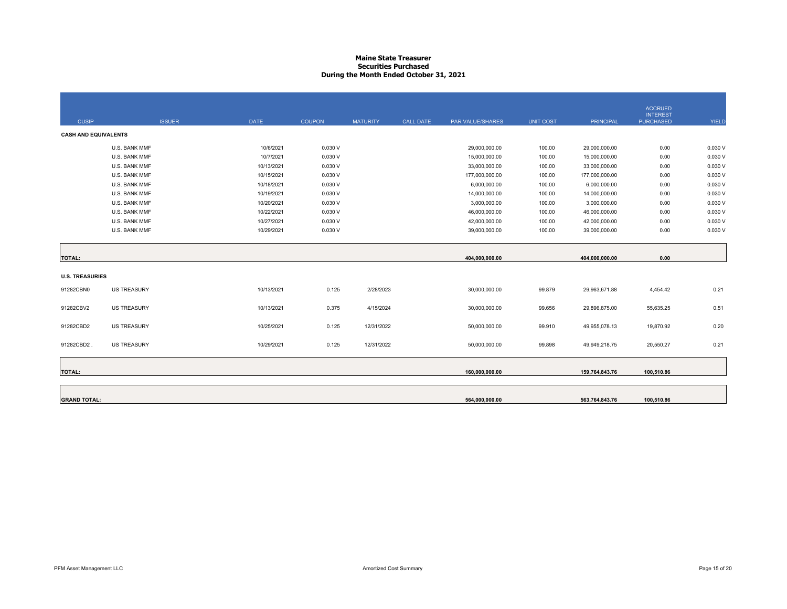#### **Maine State Treasurer Securities PurchasedDuring the Month Ended October 31, 2021**

|                             |                    |             |               |                 |           |                  |                  |                  | <b>ACCRUED</b>                      |         |
|-----------------------------|--------------------|-------------|---------------|-----------------|-----------|------------------|------------------|------------------|-------------------------------------|---------|
| <b>CUSIP</b>                | <b>ISSUER</b>      | <b>DATE</b> | <b>COUPON</b> | <b>MATURITY</b> | CALL DATE | PAR VALUE/SHARES | <b>UNIT COST</b> | <b>PRINCIPAL</b> | <b>INTEREST</b><br><b>PURCHASED</b> | YIELD   |
| <b>CASH AND EQUIVALENTS</b> |                    |             |               |                 |           |                  |                  |                  |                                     |         |
|                             | U.S. BANK MMF      | 10/6/2021   | 0.030V        |                 |           | 29,000,000.00    | 100.00           | 29,000,000.00    | 0.00                                | 0.030 V |
|                             | U.S. BANK MMF      | 10/7/2021   | 0.030V        |                 |           | 15,000,000.00    | 100.00           | 15,000,000.00    | 0.00                                | 0.030 V |
|                             | U.S. BANK MMF      | 10/13/2021  | 0.030V        |                 |           | 33,000,000.00    | 100.00           | 33,000,000.00    | 0.00                                | 0.030 V |
|                             | U.S. BANK MMF      | 10/15/2021  | 0.030V        |                 |           | 177,000,000.00   | 100.00           | 177,000,000.00   | 0.00                                | 0.030 V |
|                             | U.S. BANK MMF      | 10/18/2021  | 0.030V        |                 |           | 6,000,000.00     | 100.00           | 6,000,000.00     | 0.00                                | 0.030 V |
|                             | U.S. BANK MMF      | 10/19/2021  | 0.030V        |                 |           | 14,000,000.00    | 100.00           | 14,000,000.00    | 0.00                                | 0.030 V |
|                             | U.S. BANK MMF      | 10/20/2021  | 0.030V        |                 |           | 3,000,000.00     | 100.00           | 3,000,000.00     | 0.00                                | 0.030 V |
|                             | U.S. BANK MMF      | 10/22/2021  | 0.030V        |                 |           | 46,000,000.00    | 100.00           | 46,000,000.00    | 0.00                                | 0.030 V |
|                             | U.S. BANK MMF      | 10/27/2021  | 0.030V        |                 |           | 42,000,000.00    | 100.00           | 42,000,000.00    | 0.00                                | 0.030 V |
|                             | U.S. BANK MMF      | 10/29/2021  | 0.030V        |                 |           | 39,000,000.00    | 100.00           | 39,000,000.00    | 0.00                                | 0.030 V |
|                             |                    |             |               |                 |           |                  |                  |                  |                                     |         |
| <b>TOTAL:</b>               |                    |             |               |                 |           | 404,000,000.00   |                  | 404,000,000.00   | 0.00                                |         |
|                             |                    |             |               |                 |           |                  |                  |                  |                                     |         |
| <b>U.S. TREASURIES</b>      |                    |             |               |                 |           |                  |                  |                  |                                     |         |
| 91282CBN0                   | <b>US TREASURY</b> | 10/13/2021  | 0.125         | 2/28/2023       |           | 30,000,000.00    | 99.879           | 29,963,671.88    | 4,454.42                            | 0.21    |
| 91282CBV2                   | <b>US TREASURY</b> | 10/13/2021  | 0.375         | 4/15/2024       |           | 30,000,000.00    | 99.656           | 29,896,875.00    | 55,635.25                           | 0.51    |
|                             |                    |             |               |                 |           |                  |                  |                  |                                     |         |
| 91282CBD2                   | <b>US TREASURY</b> | 10/25/2021  | 0.125         | 12/31/2022      |           | 50,000,000.00    | 99.910           | 49,955,078.13    | 19,870.92                           | 0.20    |
| 91282CBD2.                  | <b>US TREASURY</b> | 10/29/2021  | 0.125         | 12/31/2022      |           | 50,000,000.00    | 99.898           | 49,949,218.75    | 20,550.27                           | 0.21    |
|                             |                    |             |               |                 |           |                  |                  |                  |                                     |         |
|                             |                    |             |               |                 |           |                  |                  |                  |                                     |         |
| <b>TOTAL:</b>               |                    |             |               |                 |           | 160,000,000.00   |                  | 159,764,843.76   | 100,510.86                          |         |
|                             |                    |             |               |                 |           |                  |                  |                  |                                     |         |
| <b>GRAND TOTAL:</b>         |                    |             |               |                 |           | 564,000,000.00   |                  | 563,764,843.76   | 100,510.86                          |         |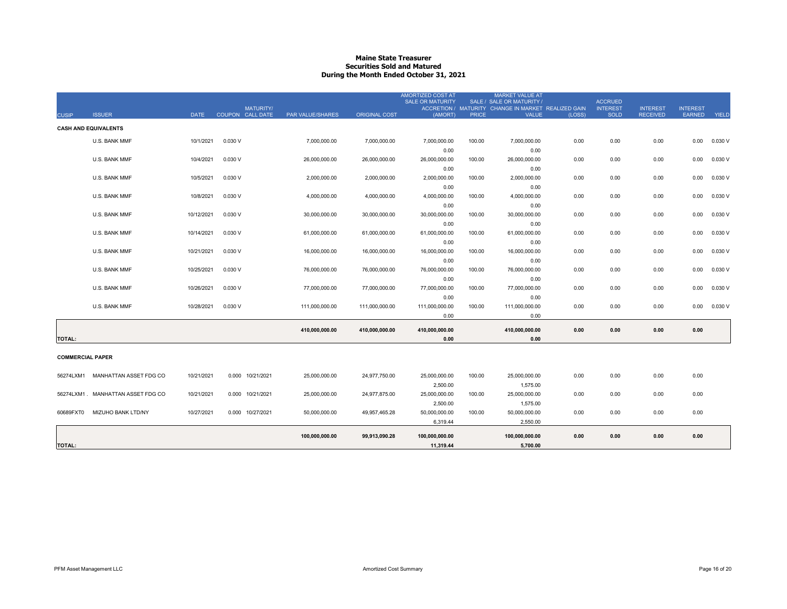#### **Maine State Treasurer Securities Sold and MaturedDuring the Month Ended October 31, 2021**

|                         |                                    |             |                  |                  |                      | <b>AMORTIZED COST AT</b><br><b>SALE OR MATURITY</b> |              | <b>MARKET VALUE AT</b><br>SALE / SALE OR MATURITY / |        | <b>ACCRUED</b>  |                 |                 |              |
|-------------------------|------------------------------------|-------------|------------------|------------------|----------------------|-----------------------------------------------------|--------------|-----------------------------------------------------|--------|-----------------|-----------------|-----------------|--------------|
|                         |                                    |             | <b>MATURITY/</b> |                  |                      |                                                     |              | ACCRETION / MATURITY CHANGE IN MARKET REALIZED GAIN |        | <b>INTEREST</b> | <b>INTEREST</b> | <b>INTEREST</b> |              |
| <b>CUSIP</b>            | <b>ISSUER</b>                      | <b>DATE</b> | COUPON CALL DATE | PAR VALUE/SHARES | <b>ORIGINAL COST</b> | (AMORT)                                             | <b>PRICE</b> | <b>VALUE</b>                                        | (LOSS) | <b>SOLD</b>     | <b>RECEIVED</b> | <b>EARNED</b>   | <b>YIELD</b> |
|                         | <b>CASH AND EQUIVALENTS</b>        |             |                  |                  |                      |                                                     |              |                                                     |        |                 |                 |                 |              |
|                         | U.S. BANK MMF                      | 10/1/2021   | 0.030 V          | 7,000,000.00     | 7,000,000.00         | 7,000,000.00                                        | 100.00       | 7,000,000.00                                        | 0.00   | 0.00            | 0.00            | 0.00            | 0.030 V      |
|                         |                                    |             |                  |                  |                      | 0.00                                                |              | 0.00                                                |        |                 |                 |                 |              |
|                         | U.S. BANK MMF                      | 10/4/2021   | 0.030 V          | 26,000,000.00    | 26,000,000.00        | 26,000,000.00                                       | 100.00       | 26,000,000.00                                       | 0.00   | 0.00            | 0.00            | 0.00            | 0.030 V      |
|                         |                                    |             |                  |                  |                      | 0.00                                                |              | 0.00                                                |        |                 |                 |                 |              |
|                         | U.S. BANK MMF                      | 10/5/2021   | 0.030 V          | 2,000,000.00     | 2,000,000.00         | 2,000,000.00                                        | 100.00       | 2,000,000.00                                        | 0.00   | 0.00            | 0.00            | 0.00            | 0.030V       |
|                         |                                    |             |                  |                  |                      | 0.00                                                |              | 0.00                                                |        |                 |                 |                 |              |
|                         | U.S. BANK MMF                      | 10/8/2021   | 0.030 V          | 4,000,000.00     | 4,000,000.00         | 4,000,000.00                                        | 100.00       | 4,000,000.00                                        | 0.00   | 0.00            | 0.00            | 0.00            | 0.030V       |
|                         | U.S. BANK MMF                      | 10/12/2021  | 0.030 V          | 30,000,000.00    | 30,000,000.00        | 0.00<br>30,000,000.00                               | 100.00       | 0.00<br>30,000,000.00                               | 0.00   | 0.00            | 0.00            | 0.00            | 0.030V       |
|                         |                                    |             |                  |                  |                      | 0.00                                                |              | 0.00                                                |        |                 |                 |                 |              |
|                         | U.S. BANK MMF                      | 10/14/2021  | 0.030 V          | 61,000,000.00    | 61,000,000.00        | 61,000,000.00                                       | 100.00       | 61,000,000.00                                       | 0.00   | 0.00            | 0.00            | 0.00            | 0.030V       |
|                         |                                    |             |                  |                  |                      | 0.00                                                |              | 0.00                                                |        |                 |                 |                 |              |
|                         | U.S. BANK MMF                      | 10/21/2021  | 0.030 V          | 16,000,000.00    | 16,000,000.00        | 16,000,000.00                                       | 100.00       | 16,000,000.00                                       | 0.00   | 0.00            | 0.00            | 0.00            | 0.030 V      |
|                         |                                    |             |                  |                  |                      | 0.00                                                |              | 0.00                                                |        |                 |                 |                 |              |
|                         | U.S. BANK MMF                      | 10/25/2021  | 0.030 V          | 76,000,000.00    | 76,000,000.00        | 76,000,000.00                                       | 100.00       | 76,000,000.00                                       | 0.00   | 0.00            | 0.00            | 0.00            | 0.030 V      |
|                         |                                    |             |                  |                  |                      | 0.00                                                |              | 0.00                                                |        |                 |                 |                 |              |
|                         | U.S. BANK MMF                      | 10/26/2021  | 0.030 V          | 77,000,000.00    | 77,000,000.00        | 77,000,000.00                                       | 100.00       | 77,000,000.00                                       | 0.00   | 0.00            | 0.00            | 0.00            | 0.030V       |
|                         |                                    |             |                  |                  |                      | 0.00                                                |              | 0.00                                                |        |                 |                 |                 |              |
|                         | U.S. BANK MMF                      | 10/28/2021  | 0.030V           | 111.000.000.00   | 111,000,000.00       | 111,000,000.00                                      | 100.00       | 111,000,000.00                                      | 0.00   | 0.00            | 0.00            | 0.00            | 0.030V       |
|                         |                                    |             |                  |                  |                      | 0.00                                                |              | 0.00                                                |        |                 |                 |                 |              |
|                         |                                    |             |                  | 410,000,000.00   | 410,000,000.00       | 410,000,000.00                                      |              | 410,000,000.00                                      | 0.00   | 0.00            | 0.00            | 0.00            |              |
| <b>TOTAL:</b>           |                                    |             |                  |                  |                      | 0.00                                                |              | 0.00                                                |        |                 |                 |                 |              |
|                         |                                    |             |                  |                  |                      |                                                     |              |                                                     |        |                 |                 |                 |              |
| <b>COMMERCIAL PAPER</b> |                                    |             |                  |                  |                      |                                                     |              |                                                     |        |                 |                 |                 |              |
|                         | 56274LXM1 MANHATTAN ASSET FDG CO   | 10/21/2021  | 0.000 10/21/2021 | 25,000,000.00    |                      |                                                     |              | 25,000,000.00                                       | 0.00   |                 |                 |                 |              |
|                         |                                    |             |                  |                  | 24,977,750.00        | 25,000,000.00<br>2,500.00                           | 100.00       | 1,575.00                                            |        | 0.00            | 0.00            | 0.00            |              |
|                         | 56274LXM1 . MANHATTAN ASSET FDG CO | 10/21/2021  | 0.000 10/21/2021 | 25,000,000.00    | 24,977,875.00        | 25,000,000.00                                       | 100.00       | 25,000,000.00                                       | 0.00   | 0.00            | 0.00            | 0.00            |              |
|                         |                                    |             |                  |                  |                      | 2,500.00                                            |              | 1,575.00                                            |        |                 |                 |                 |              |
| 60689FXT0               | MIZUHO BANK LTD/NY                 | 10/27/2021  | 0.000 10/27/2021 | 50.000.000.00    | 49,957,465.28        | 50,000,000.00                                       | 100.00       | 50,000,000.00                                       | 0.00   | 0.00            | 0.00            | 0.00            |              |
|                         |                                    |             |                  |                  |                      | 6,319.44                                            |              | 2,550.00                                            |        |                 |                 |                 |              |
|                         |                                    |             |                  | 100,000,000.00   | 99,913,090.28        | 100,000,000.00                                      |              | 100,000,000.00                                      | 0.00   | 0.00            | 0.00            | 0.00            |              |
| <b>TOTAL:</b>           |                                    |             |                  |                  |                      | 11,319.44                                           |              | 5,700.00                                            |        |                 |                 |                 |              |
|                         |                                    |             |                  |                  |                      |                                                     |              |                                                     |        |                 |                 |                 |              |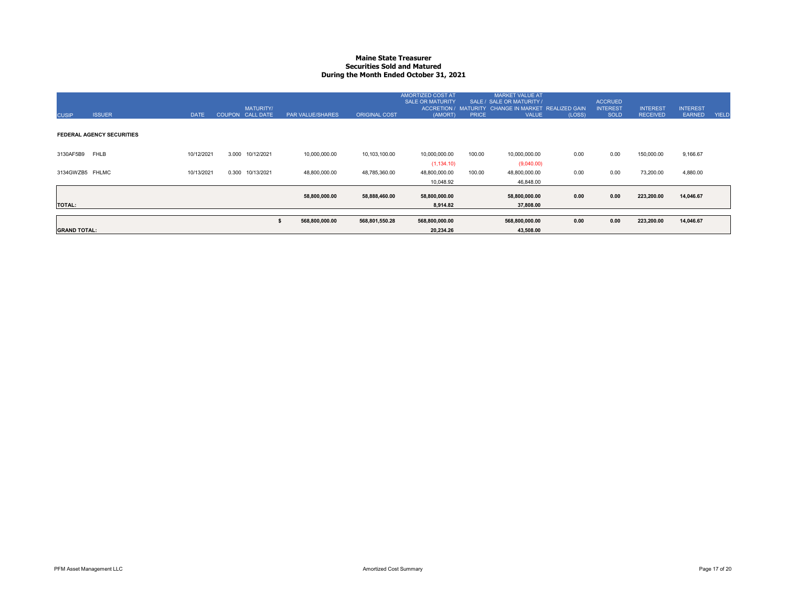#### **Maine State Treasurer Securities Sold and MaturedDuring the Month Ended October 31, 2021**

| <b>CUSIP</b>        | <b>ISSUER</b>                    | <b>DATE</b> | <b>MATURITY/</b><br>COUPON CALL DATE | <b>PAR VALUE/SHARES</b> | <b>ORIGINAL COST</b> | <b>AMORTIZED COST AT</b><br><b>SALE OR MATURITY</b><br>(AMORT) | <b>PRICE</b> | <b>MARKET VALUE AT</b><br>SALE / SALE OR MATURITY /<br>ACCRETION / MATURITY CHANGE IN MARKET REALIZED GAIN<br><b>VALUE</b> | (LOSS) | <b>ACCRUED</b><br><b>INTEREST</b><br><b>SOLD</b> | <b>INTEREST</b><br><b>RECEIVED</b> | <b>INTEREST</b><br><b>EARNED</b> | <b>YIELD</b> |
|---------------------|----------------------------------|-------------|--------------------------------------|-------------------------|----------------------|----------------------------------------------------------------|--------------|----------------------------------------------------------------------------------------------------------------------------|--------|--------------------------------------------------|------------------------------------|----------------------------------|--------------|
|                     | <b>FEDERAL AGENCY SECURITIES</b> |             |                                      |                         |                      |                                                                |              |                                                                                                                            |        |                                                  |                                    |                                  |              |
| 3130AF5B9 FHLB      |                                  | 10/12/2021  | 3.000<br>10/12/2021                  | 10,000,000.00           | 10,103,100.00        | 10,000,000.00                                                  | 100.00       | 10,000,000.00                                                                                                              | 0.00   | 0.00                                             | 150,000.00                         | 9,166.67                         |              |
| 3134GWZB5 FHLMC     |                                  | 10/13/2021  | 0.300<br>10/13/2021                  | 48,800,000.00           | 48,785,360.00        | (1, 134.10)<br>48,800,000.00                                   | 100.00       | (9,040.00)<br>48,800,000.00                                                                                                | 0.00   | 0.00                                             | 73,200.00                          | 4,880.00                         |              |
|                     |                                  |             |                                      |                         |                      | 10,048.92                                                      |              | 46,848.00                                                                                                                  |        |                                                  |                                    |                                  |              |
|                     |                                  |             |                                      | 58,800,000.00           | 58,888,460.00        | 58,800,000.00                                                  |              | 58,800,000.00                                                                                                              | 0.00   | 0.00                                             | 223,200.00                         | 14,046.67                        |              |
| <b>TOTAL:</b>       |                                  |             |                                      |                         |                      | 8,914.82                                                       |              | 37,808.00                                                                                                                  |        |                                                  |                                    |                                  |              |
|                     |                                  |             |                                      | 568,800,000.00          | 568,801,550.28       | 568,800,000.00                                                 |              | 568,800,000.00                                                                                                             | 0.00   | 0.00                                             | 223,200.00                         | 14,046.67                        |              |
| <b>GRAND TOTAL:</b> |                                  |             |                                      |                         |                      | 20,234.26                                                      |              | 43,508.00                                                                                                                  |        |                                                  |                                    |                                  |              |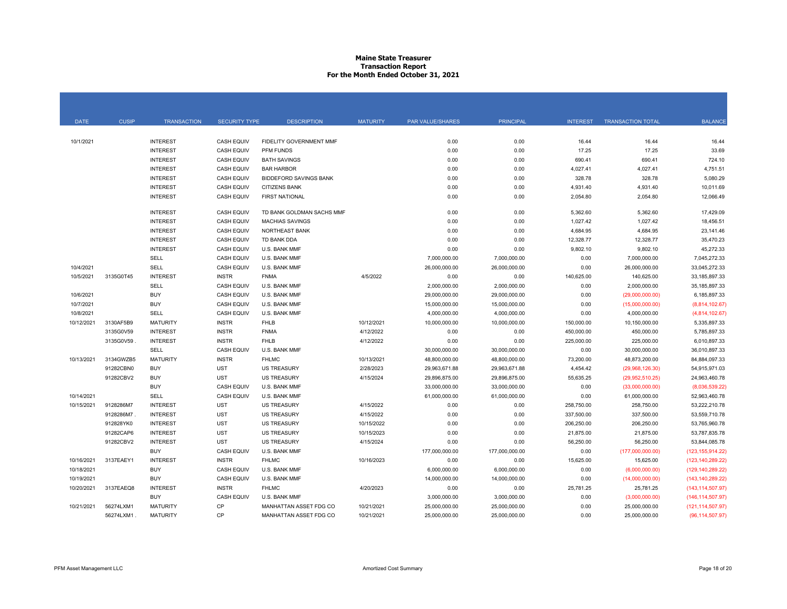#### **Maine State Treasurer Transaction Report For the Month Ended October 31, 2021**

| <b>DATE</b> | <b>CUSIP</b> | <b>TRANSACTION</b> | <b>SECURITY TYPE</b> | <b>DESCRIPTION</b>            | <b>MATURITY</b> | PAR VALUE/SHARES | <b>PRINCIPAL</b> | <b>INTEREST</b> | <b>TRANSACTION TOTAL</b> | <b>BALANCE</b>     |
|-------------|--------------|--------------------|----------------------|-------------------------------|-----------------|------------------|------------------|-----------------|--------------------------|--------------------|
|             |              |                    |                      |                               |                 |                  |                  |                 |                          |                    |
| 10/1/2021   |              | <b>INTEREST</b>    | <b>CASH EQUIV</b>    | FIDELITY GOVERNMENT MMF       |                 | 0.00             | 0.00             | 16.44           | 16.44                    | 16.44              |
|             |              | <b>INTEREST</b>    | <b>CASH EQUIV</b>    | PFM FUNDS                     |                 | 0.00             | 0.00             | 17.25           | 17.25                    | 33.69              |
|             |              | <b>INTEREST</b>    | <b>CASH EQUIV</b>    | <b>BATH SAVINGS</b>           |                 | 0.00             | 0.00             | 690.41          | 690.41                   | 724.10             |
|             |              | <b>INTEREST</b>    | <b>CASH EQUIV</b>    | <b>BAR HARBOR</b>             |                 | 0.00             | 0.00             | 4,027.41        | 4,027.41                 | 4,751.51           |
|             |              | <b>INTEREST</b>    | <b>CASH EQUIV</b>    | <b>BIDDEFORD SAVINGS BANK</b> |                 | 0.00             | 0.00             | 328.78          | 328.78                   | 5,080.29           |
|             |              | <b>INTEREST</b>    | <b>CASH EQUIV</b>    | <b>CITIZENS BANK</b>          |                 | 0.00             | 0.00             | 4,931.40        | 4,931.40                 | 10,011.69          |
|             |              | <b>INTEREST</b>    | <b>CASH EQUIV</b>    | <b>FIRST NATIONAL</b>         |                 | 0.00             | 0.00             | 2,054.80        | 2,054.80                 | 12,066.49          |
|             |              | <b>INTEREST</b>    | <b>CASH EQUIV</b>    | TD BANK GOLDMAN SACHS MMF     |                 | 0.00             | 0.00             | 5,362.60        | 5,362.60                 | 17,429.09          |
|             |              | <b>INTEREST</b>    | <b>CASH EQUIV</b>    | <b>MACHIAS SAVINGS</b>        |                 | 0.00             | 0.00             | 1,027.42        | 1,027.42                 | 18,456.51          |
|             |              | <b>INTEREST</b>    | <b>CASH EQUIV</b>    | NORTHEAST BANK                |                 | 0.00             | 0.00             | 4,684.95        | 4,684.95                 | 23,141.46          |
|             |              | <b>INTEREST</b>    | <b>CASH EQUIV</b>    | TD BANK DDA                   |                 | 0.00             | 0.00             | 12,328.77       | 12,328.77                | 35,470.23          |
|             |              | <b>INTEREST</b>    | <b>CASH EQUIV</b>    | U.S. BANK MMF                 |                 | 0.00             | 0.00             | 9,802.10        | 9,802.10                 | 45,272.33          |
|             |              | <b>SELL</b>        | <b>CASH EQUIV</b>    | U.S. BANK MMF                 |                 | 7,000,000.00     | 7,000,000.00     | 0.00            | 7,000,000.00             | 7,045,272.33       |
| 10/4/2021   |              | SELL               | <b>CASH EQUIV</b>    | U.S. BANK MMF                 |                 | 26,000,000.00    | 26,000,000.00    | 0.00            | 26,000,000.00            | 33,045,272.33      |
| 10/5/2021   | 3135G0T45    | <b>INTEREST</b>    | <b>INSTR</b>         | <b>FNMA</b>                   | 4/5/2022        | 0.00             | 0.00             | 140,625.00      | 140,625.00               | 33, 185, 897. 33   |
|             |              | SELL               | <b>CASH EQUIV</b>    | U.S. BANK MMF                 |                 | 2,000,000.00     | 2,000,000.00     | 0.00            | 2,000,000.00             | 35, 185, 897. 33   |
| 10/6/2021   |              | <b>BUY</b>         | <b>CASH EQUIV</b>    | U.S. BANK MMF                 |                 | 29,000,000.00    | 29,000,000.00    | 0.00            | (29,000,000.00)          | 6,185,897.33       |
| 10/7/2021   |              | <b>BUY</b>         | <b>CASH EQUIV</b>    | U.S. BANK MMF                 |                 | 15,000,000.00    | 15,000,000.00    | 0.00            | (15,000,000.00)          | (8,814,102.67)     |
| 10/8/2021   |              | <b>SELL</b>        | <b>CASH EQUIV</b>    | U.S. BANK MMF                 |                 | 4,000,000.00     | 4,000,000.00     | 0.00            | 4,000,000.00             | (4,814,102.67)     |
| 10/12/2021  | 3130AF5B9    | <b>MATURITY</b>    | <b>INSTR</b>         | <b>FHLB</b>                   | 10/12/2021      | 10,000,000.00    | 10,000,000.00    | 150,000.00      | 10,150,000.00            | 5,335,897.33       |
|             | 3135G0V59    | <b>INTEREST</b>    | <b>INSTR</b>         | <b>FNMA</b>                   | 4/12/2022       | 0.00             | 0.00             | 450,000.00      | 450,000.00               | 5,785,897.33       |
|             | 3135G0V59    | <b>INTEREST</b>    | <b>INSTR</b>         | <b>FHLB</b>                   | 4/12/2022       | 0.00             | 0.00             | 225,000.00      | 225,000.00               | 6,010,897.33       |
|             |              | <b>SELL</b>        | <b>CASH EQUIV</b>    | U.S. BANK MMF                 |                 | 30,000,000.00    | 30,000,000.00    | 0.00            | 30,000,000.00            | 36,010,897.33      |
| 10/13/2021  | 3134GWZB5    | <b>MATURITY</b>    | <b>INSTR</b>         | <b>FHLMC</b>                  | 10/13/2021      | 48,800,000.00    | 48,800,000.00    | 73,200.00       | 48,873,200.00            | 84,884,097.33      |
|             | 91282CBN0    | <b>BUY</b>         | <b>UST</b>           | <b>US TREASURY</b>            | 2/28/2023       | 29,963,671.88    | 29,963,671.88    | 4,454.42        | (29,968,126.30)          | 54,915,971.03      |
|             | 91282CBV2    | <b>BUY</b>         | <b>UST</b>           | <b>US TREASURY</b>            | 4/15/2024       | 29,896,875.00    | 29,896,875.00    | 55,635.25       | (29,952,510.25)          | 24,963,460.78      |
|             |              | <b>BUY</b>         | <b>CASH EQUIV</b>    | U.S. BANK MMF                 |                 | 33,000,000.00    | 33,000,000.00    | 0.00            | (33,000,000.00)          | (8,036,539.22)     |
| 10/14/2021  |              | <b>SELL</b>        | <b>CASH EQUIV</b>    | U.S. BANK MMF                 |                 | 61,000,000.00    | 61,000,000.00    | 0.00            | 61,000,000.00            | 52,963,460.78      |
| 10/15/2021  | 9128286M7    | <b>INTEREST</b>    | <b>UST</b>           | <b>US TREASURY</b>            | 4/15/2022       | 0.00             | 0.00             | 258,750.00      | 258,750.00               | 53,222,210.78      |
|             | 9128286M7    | <b>INTEREST</b>    | <b>UST</b>           | <b>US TREASURY</b>            | 4/15/2022       | 0.00             | 0.00             | 337,500.00      | 337,500.00               | 53,559,710.78      |
|             | 912828YK0    | <b>INTEREST</b>    | <b>UST</b>           | <b>US TREASURY</b>            | 10/15/2022      | 0.00             | 0.00             | 206,250.00      | 206,250.00               | 53,765,960.78      |
|             | 91282CAP6    | <b>INTEREST</b>    | <b>UST</b>           | <b>US TREASURY</b>            | 10/15/2023      | 0.00             | 0.00             | 21,875.00       | 21,875.00                | 53,787,835.78      |
|             | 91282CBV2    | <b>INTEREST</b>    | <b>UST</b>           | <b>US TREASURY</b>            | 4/15/2024       | 0.00             | 0.00             | 56,250.00       | 56,250.00                | 53.844.085.78      |
|             |              | <b>BUY</b>         | <b>CASH EQUIV</b>    | U.S. BANK MMF                 |                 | 177,000,000.00   | 177,000,000.00   | 0.00            | (177,000,000.00)         | (123, 155, 914.22) |
| 10/16/2021  | 3137EAEY1    | <b>INTEREST</b>    | <b>INSTR</b>         | <b>FHLMC</b>                  | 10/16/2023      | 0.00             | 0.00             | 15,625.00       | 15,625.00                | (123, 140, 289.22) |
| 10/18/2021  |              | <b>BUY</b>         | <b>CASH EQUIV</b>    | U.S. BANK MMF                 |                 | 6,000,000.00     | 6,000,000.00     | 0.00            | (6,000,000.00)           | (129, 140, 289.22) |
| 10/19/2021  |              | <b>BUY</b>         | <b>CASH EQUIV</b>    | U.S. BANK MMF                 |                 | 14,000,000.00    | 14,000,000.00    | 0.00            | (14,000,000.00)          | (143, 140, 289.22) |
| 10/20/2021  | 3137EAEQ8    | <b>INTEREST</b>    | <b>INSTR</b>         | <b>FHLMC</b>                  | 4/20/2023       | 0.00             | 0.00             | 25,781.25       | 25,781.25                | (143, 114, 507.97) |
|             |              | <b>BUY</b>         | <b>CASH EQUIV</b>    | U.S. BANK MMF                 |                 | 3,000,000.00     | 3,000,000.00     | 0.00            | (3,000,000.00)           | (146, 114, 507.97) |
| 10/21/2021  | 56274LXM1    | <b>MATURITY</b>    | CP                   | MANHATTAN ASSET FDG CO        | 10/21/2021      | 25,000,000.00    | 25,000,000.00    | 0.00            | 25,000,000.00            | (121, 114, 507.97) |
|             | 56274LXM1    | <b>MATURITY</b>    | CP                   | MANHATTAN ASSET FDG CO        | 10/21/2021      | 25,000,000.00    | 25,000,000.00    | 0.00            | 25,000,000.00            | (96, 114, 507.97)  |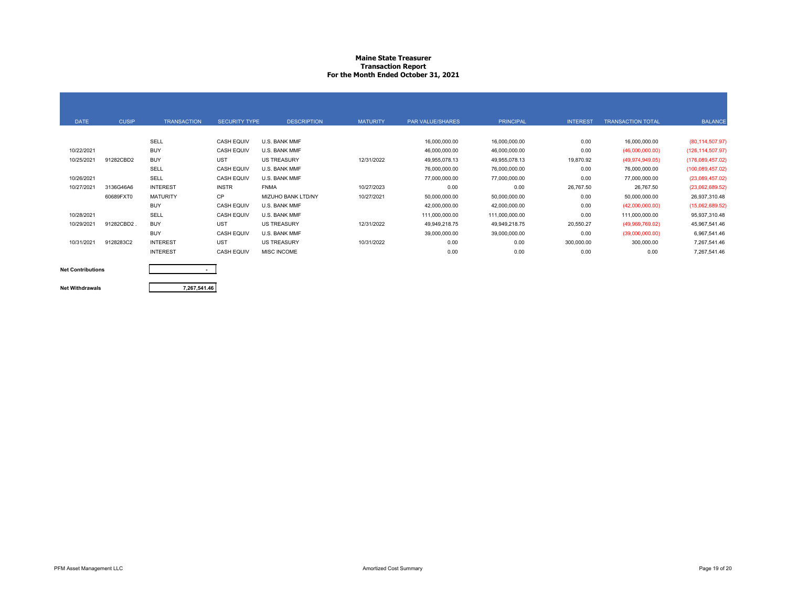#### **Maine State Treasurer Transaction Report For the Month Ended October 31, 2021**

| <b>DATE</b> | <b>CUSIP</b> | <b>TRANSACTION</b> | <b>SECURITY TYPE</b> | <b>DESCRIPTION</b> | <b>MATURITY</b> | PAR VALUE/SHARES | <b>PRINCIPAL</b> | <b>INTEREST</b> | <b>TRANSACTION TOTAL</b> | <b>BALANCE</b>     |
|-------------|--------------|--------------------|----------------------|--------------------|-----------------|------------------|------------------|-----------------|--------------------------|--------------------|
|             |              |                    |                      |                    |                 |                  |                  |                 |                          |                    |
|             |              | SELL               | <b>CASH EQUIV</b>    | U.S. BANK MMF      |                 | 16,000,000.00    | 16,000,000.00    | 0.00            | 16,000,000.00            | (80, 114, 507.97)  |
| 10/22/2021  |              | <b>BUY</b>         | <b>CASH EQUIV</b>    | U.S. BANK MMF      |                 | 46,000,000.00    | 46,000,000.00    | 0.00            | (46,000,000,00)          | (126, 114, 507.97) |
| 10/25/2021  | 91282CBD2    | <b>BUY</b>         | <b>UST</b>           | <b>US TREASURY</b> | 12/31/2022      | 49,955,078.13    | 49,955,078.13    | 19,870.92       | (49, 974, 949.05)        | (176,089,457.02)   |
|             |              | SELL               | <b>CASH EQUIV</b>    | U.S. BANK MMF      |                 | 76,000,000.00    | 76,000,000.00    | 0.00            | 76,000,000.00            | (100,089,457.02)   |
| 10/26/2021  |              | SELL               | <b>CASH EQUIV</b>    | U.S. BANK MMF      |                 | 77,000,000.00    | 77,000,000.00    | 0.00            | 77,000,000.00            | (23,089,457.02)    |
| 10/27/2021  | 3136G46A6    | <b>INTEREST</b>    | <b>INSTR</b>         | <b>FNMA</b>        | 10/27/2023      | 0.00             | 0.00             | 26,767.50       | 26,767.50                | (23,062,689.52)    |
|             | 60689FXT0    | <b>MATURITY</b>    | <b>CP</b>            | MIZUHO BANK LTD/NY | 10/27/2021      | 50,000,000.00    | 50,000,000.00    | 0.00            | 50,000,000.00            | 26,937,310.48      |
|             |              | <b>BUY</b>         | <b>CASH EQUIV</b>    | U.S. BANK MMF      |                 | 42,000,000.00    | 42,000,000.00    | 0.00            | (42,000,000.00)          | (15,062,689.52)    |
| 10/28/2021  |              | SELL               | <b>CASH EQUIV</b>    | U.S. BANK MMF      |                 | 111,000,000.00   | 111,000,000.00   | 0.00            | 111,000,000.00           | 95,937,310.48      |
| 10/29/2021  | 91282CBD2.   | <b>BUY</b>         | <b>UST</b>           | <b>US TREASURY</b> | 12/31/2022      | 49,949,218.75    | 49,949,218.75    | 20,550.27       | (49,969,769.02)          | 45,967,541.46      |
|             |              | <b>BUY</b>         | <b>CASH EQUIV</b>    | U.S. BANK MMF      |                 | 39,000,000.00    | 39,000,000.00    | 0.00            | (39,000,000.00)          | 6,967,541.46       |
| 10/31/2021  | 9128283C2    | <b>INTEREST</b>    | <b>UST</b>           | <b>US TREASURY</b> | 10/31/2022      | 0.00             | 0.00             | 300,000.00      | 300,000.00               | 7,267,541.46       |
|             |              | <b>INTEREST</b>    | <b>CASH EQUIV</b>    | MISC INCOME        |                 | 0.00             | 0.00             | 0.00            | 0.00                     | 7,267,541.46       |
|             |              |                    |                      |                    |                 |                  |                  |                 |                          |                    |

#### **Net Contributions**

#### **Net Withdrawals**

**7,267,541.46**

**-**